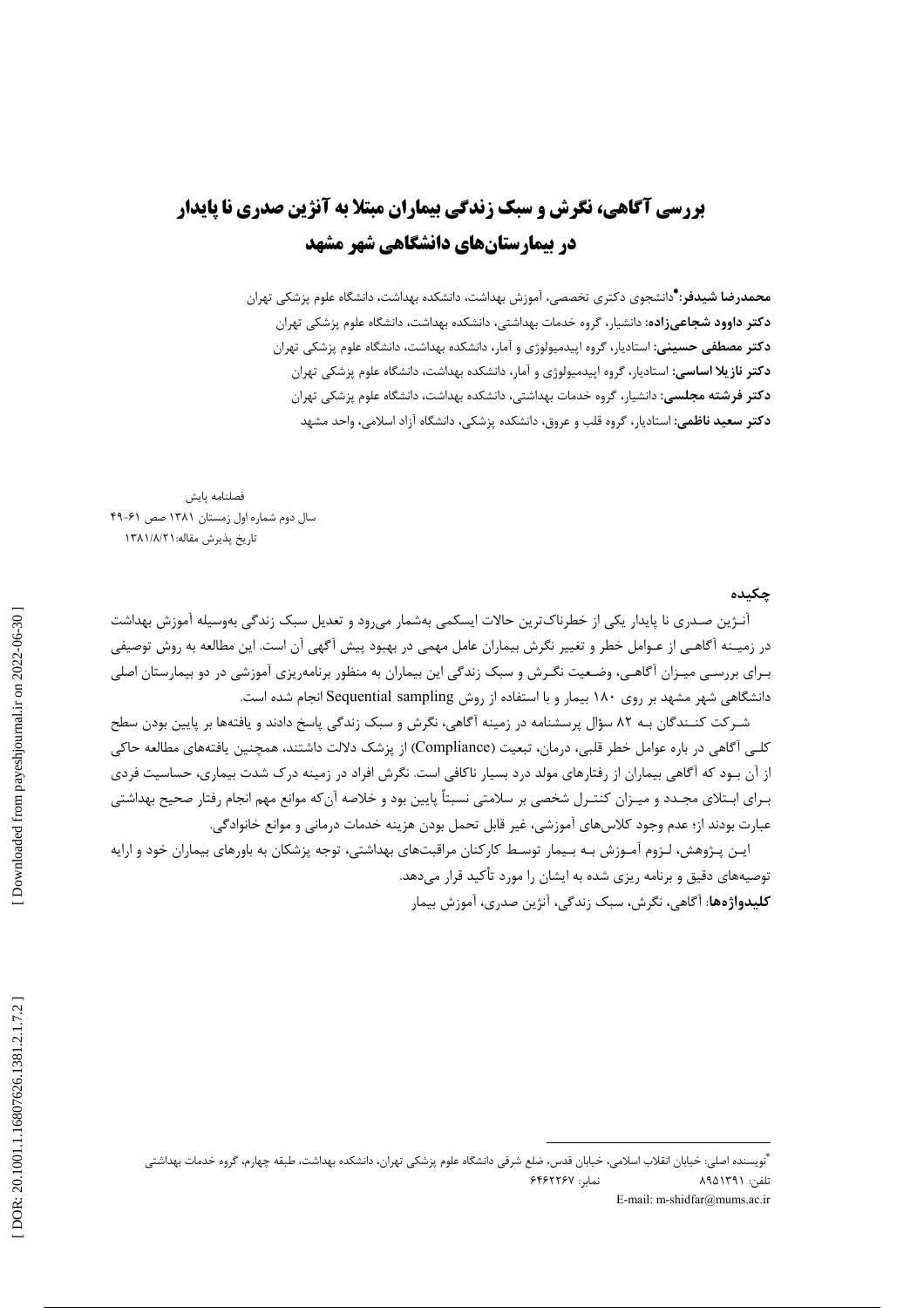## **بررسی آگاهی، نگرش و سبک زندگی بیماران مبتلا به آنژین صدری نا پایدار** در بیمارستانهای دانشگاهی شهر مشهد

**محمدرضا شیدفر: \***دانشجوی دکتری تخصصی، آموزش بهداشت، دانشکده بهداشت، دانشگاه علوم پزشکی تهران **دکتر داوود شجاعیزاده:** دانشیار، گروه خدمات بهداشتی، دانشکده بهداشت، دانشگاه علوم پزشکی تهران **دکتر مصطفی حسینی**: استادیار، گروه اپیدمیولوژی و آمار، دانشکده بهداشت، دانشگاه علوم پزشکی تهران **دکتر نازیلا اساسی:** استادیار، گروه اییدمیولوژی و آمار، دانشکده بهداشت، دانشگاه علوم پزشکی تهران **دکتر فرشته مجلسی:** دانشیار، گروه خدمات بهداشتی، دانشکده بهداشت، دانشگاه علوم پزشکی تهران **دکتر سعید ناظمی:** استادیار، گروه قلب و عروق، دانشکده پزشکی، دانشگاه آزاد اسلامی، واحد مشهد

فصلنامه پایش سال دوم شماره اول زمستان ۱۳۸۱ صص ۶۱-۴۹ تاريخ پذيرش مقاله: ١٣٨١/٨/٢

حكىدە

آنـژین صـدری نا پایدار یکی از خطرناک<code>ترین حالات ایسکمی بهشمار می</sup>رود و تعدیل سبک زندگی بهوسیله آموزش بهداشت</mark></code> در زمیـنه آگاهـی از عـوامل خطر و تغییر نگرش بیماران عامل مهمی در بهبود پیش آگهی آن است. این مطالعه به روش توصیفی بـرای بررسـی میـزان آگاهـی، وضـعیت نگـرش و سبک زندگی این بیماران به منظور برنامهریزی آموزشی در دو بیمارستان اصلی دانشگاهی شهر مشهد بر روی ۱۸۰ بیمار و با استفاده از روش Sequential sampling انجام شده است.

شـرکت کنــندگان بـه ۸۲ سؤال پرسشنامه در زمینه آگاهی، نگرش و سبک زندگی پاسخ دادند و یافتهها بر پایین بودن سطح كلـي آگاهي در باره عوامل خطر قلبي، درمان، تبعيت (Compliance) از پزشک دلالت داشتند، همچنين يافتههاي مطالعه حاكي از آن بـود که آگاهی بیماران از رفتارهای مولد درد بسیار ناکافی است. نگرش افراد در زمینه درک شدت بیماری، حساسیت فردی بـراي ابـتلاي مجـدد و ميـزان كنتـرل شخصي بر سلامتي نسبتاً پايين بود و خلاصه آن٤كه موانع مهم انجام رفتار صحيح بهداشتي عبارت بودند از؛ عدم وجود كلاس هاي آموزشي، غير قابل تحمل بودن هزينه خدمات درماني و موانع خانوادگي.

ایـن پـژوهش، لـزوم آمـوزش بـه بـیمار توسـط کارکنان مراقبتهای بهداشتی، توجه پزشکان به باورهای بیماران خود و ارایه توصیههای دقیق و برنامه ریزی شده به ایشان را مورد تأکید قرار مے دهد. **كليدواژەها**: آگاهي، نگرش، سبک زندگي، آنژين صدري، آموزش بيمار

<sup>&</sup>quot;نويسنده اصلي: خيابان انقلاب اسلامي، خيابان قدس، ضلع شرقي دانشگاه علوم پزشكي تهران، دانشكده بهداشت، طبقه چهارم، گروه خدمات بهداشتي نمار: ۶۴۶۲۲۶۷ تلفن: ۸۹۵۱۳۹۱ E-mail: m-shidfar@mums.ac.ir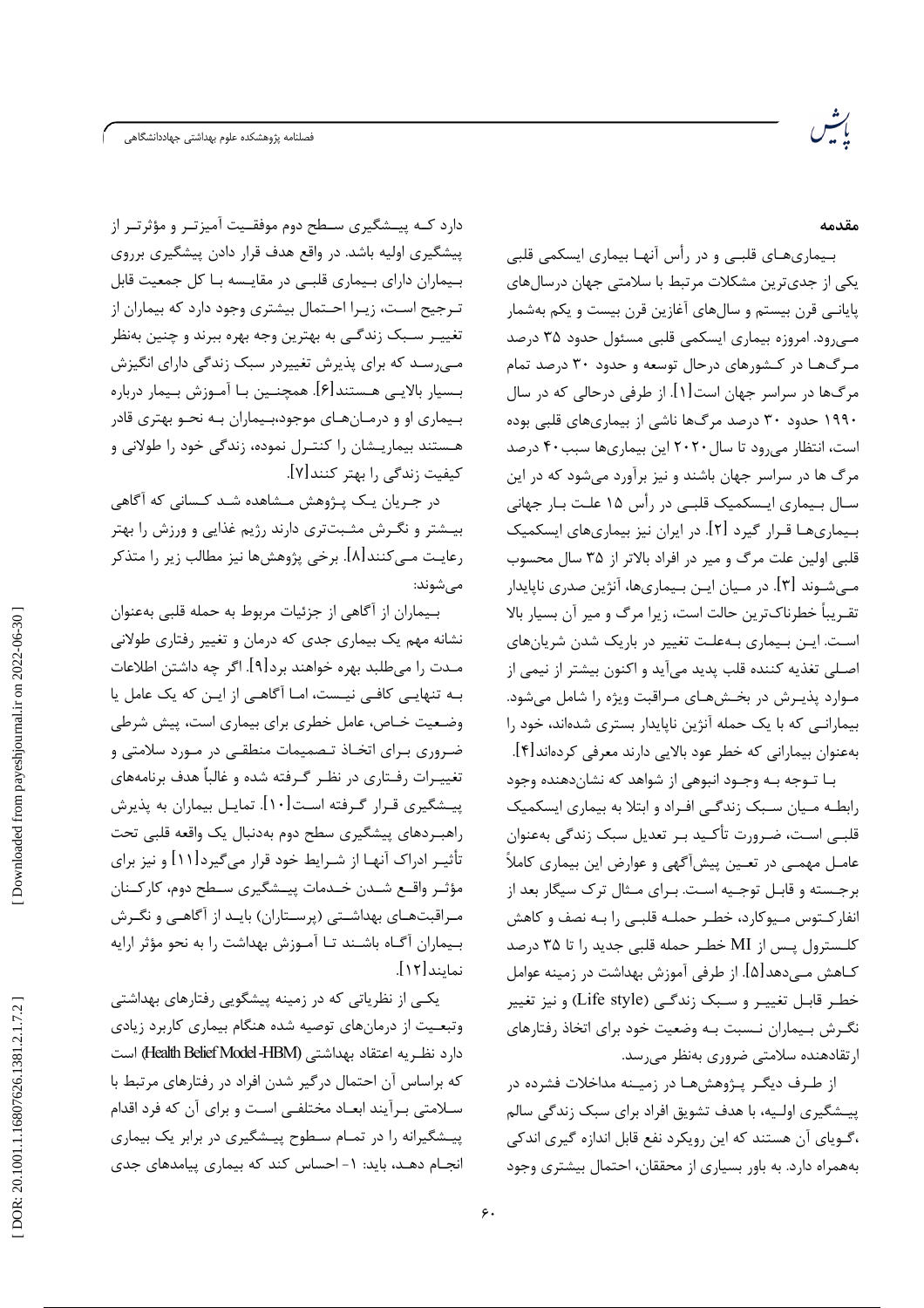.<br>فصلنامه پژوهشکده علوم بهداشتی جهاددانشگاهی

مقدمه

بـیماریهـای قلبـی و در رأس آنهـا بیماری ایسکمی قلبی یکی از جدی ترین مشکلات مرتبط با سلامتی جهان درسال های یایانــی قرن بیستم و سال۱های آغازین قرن بیست و یکم بهشمار میرود. امروزه بیماری ایسکمی قلبی مسئول حدود ۳۵ درصد مـرگ@ا در کـشورهای درحال توسعه و حدود ۳۰ درصد تمام مرگ&ا در سراسر جهان است[۱]. از طرفی درحالی که در سال ۱۹۹۰ حدود ۳۰ درصد مرگ0ا ناشی از بیماریهای قلبی بوده است، انتظار می رود تا سال ۲۰۲۰ این بیماریها سبب ۴۰ درصد مرگ ها در سراسر جهان باشند و نیز برآورد میشود که در این سـال بـیماری ایـسکمیک قلبـی در رأس ۱۵ علـت بـار جهانی بـیماریهـا قـرار گیرد [۲]. در ایران نیز بیماریهای ایسکمیک قلبی اولین علت مرگ و میر در افراد بالاتر از ۳۵ سال محسوب مـے شـوند [۳]. در مـیان ایـن بـیماری۱ها، آنژین صدری ناپایدار تقـریباً خطرناکترین حالت است، زیرا مرگ و میر آن بسیار بالا اسـت. ايـن بـيماري بـهعلـت تغيير در باريک شدن شريانهاي اصـلی تغذیه کننده قلب پدید میآید و اکنون بیشتر از نیمی از مـوارد پذيـرش در بخـشهـاى مـراقبت ويژه را شامل مىشود. بیمارانی که با یک حمله آنژین ناپایدار بستری شدهاند، خود را بهعنوان بيماراني كه خطر عود بالايي دارند معرفي كردهاند[۴].

بـا تــوجه بــه وجــود انبوهي از شواهد كه نشانcمقنده وجود رابطـه مـيان سـبک زندگـي افـراد و ابتلا به بيماري ايسكميک قلبــی اسـت، ضـرورت تأکــید بـر تعدیل سبک زندگی بهعنوان عامـل مهمـي در تعـين پيشآگهي و عوارض اين بيماري كاملاً برجسته و قابـل توجـيه اسـت. بـراي مـثال ترک سيگار بعد از انفارکــتوس مــيوکارد، خطـر حملــه قلبــي را بــه نصف و کاهش كلـسترول يـس از MI خطـر حمله قلبي جديد ,ا تا ۳۵ درصد كــاهش مــى‹هد[۵]. از طرفي آموزش بهداشت در زمينه عوامل خطـر قابـل تغييـر و سـبک زندگـي (Life style) و نيز تغيير نگـرش بـیماران نـسبت بـه وضعیت خود برای اتخاذ رفتارهای ارتقادهنده سلامتی ضروری بهنظر می رسد.

از طـرف دیگـر پـژوهش۵مـا در زمیـنه مداخلات فشرده در پیشگیری اولـیه، با هدف تشویق افراد برای سبک زندگی سالم ،گـوپای آن هستند که این رویکرد نفع قابل اندازه گیری اندکی بههمراه دارد. به باور بسیاری از محققان، احتمال بیشتری وجود

دارد کــه پیــشگیری ســطح دوم موفقــیت آمیزتــر و مؤثرتــر از پیشگیری اولیه باشد. در واقع هدف قرار دادن پیشگیری برروی بـیماران دارای بـیماری قلبـی در مقایـسه بـا کل جمعیت قابل تـرجيح اسـت، زيـرا احـتمال بيشتري وجود دارد كه بيماران از تغییـر سـبک زندگـی به بهترین وجه بهره ببرند و چنین بهنظر مهیرسد که برای پذیرش تغییردر سبک زندگی دارای انگیزش بـسيار بالايـي هـستند[۶]. همچنـين بـا آمـوزش بـيمار درباره بـیماری او و درمـانهـای موجود،بـیماران بـه نحـو بهتری قادر هـستند بیماریـشان را کنتـرل نموده، زندگی خود را طولانی و کیفیت زندگی را بهتر کنند[۷].

در جـریان یـک پـژوهش مـشاهده شـد کـسانی که آگاهی بیـشتر و نگـرش مثـبتتری دارند رژیم غذایی و ورزش را بهتر رعایـت مـیکنند[۸]. برخی پژوهشها نیز مطالب زیر را متذکر مے شوند:

بـيماران از آگاهي از جزئيات مربوط به حمله قلبي بهعنوان نشانه مهم یک بیماری جدی که درمان و تغییر رفتاری طولانی مـدت را مىطلبد بهره خواهند برد[۹]. اگر چه داشتن اطلاعات بـه تنهایـی کافـی نیـست، امـا آگاهـی از ایـن که یک عامل یا وضعیت خـاص، عامل خطری برای بیماری است، پیش شرطی ضروری بـرای اتخـاذ تـصمیمات منطقـی در مـورد سلامتی و تغییـرات رفـتاری در نظـر گـرفته شده و غالباً هدف برنامههای پیـشگیری قـرار گـرفته اسـت[۱۰]. تمایـل بیماران به پذیرش راهبـردهای پیشگیری سطح دوم بهدنبال یک واقعه قلبی تحت تأثیـر ادراک آنهـا از شـرایط خود قرار میگیرد[۱۱] و نیز برای مؤثـر واقــع شــدن خــدمات پيــشگيري ســطح دوم، كاركــنان مـراقبتهـای بهداشـتی (پرسـتاران) بایـد از آگاهـی و نگـرش بـيماران آگـاه باشـند تـا آمـوزش بهداشت را به نحو مؤثر ارايه نمايند[١٢].

یکے از نظریاتی که در زمینه پیشگویی رفتارهای بهداشتی وتبعيت از درمان هاى توصيه شده هنگام بيمارى كاربرد زيادى دارد نظريه اعتقاد بهداشتي (Health Belief Model -HBM) است که براساس آن احتمال در گیر شدن افراد در رفتارهای مرتبط با سلامتی بـرآیند ابعـاد مختلفـی اسـت و برای آن که فرد اقدام پیشگیرانه را در تمـام سـطوح پیـشگیری در برابر یک بیماری انجـام دهـد، بايد: ١- احساس كند كه بيماري پيامدهاي جدي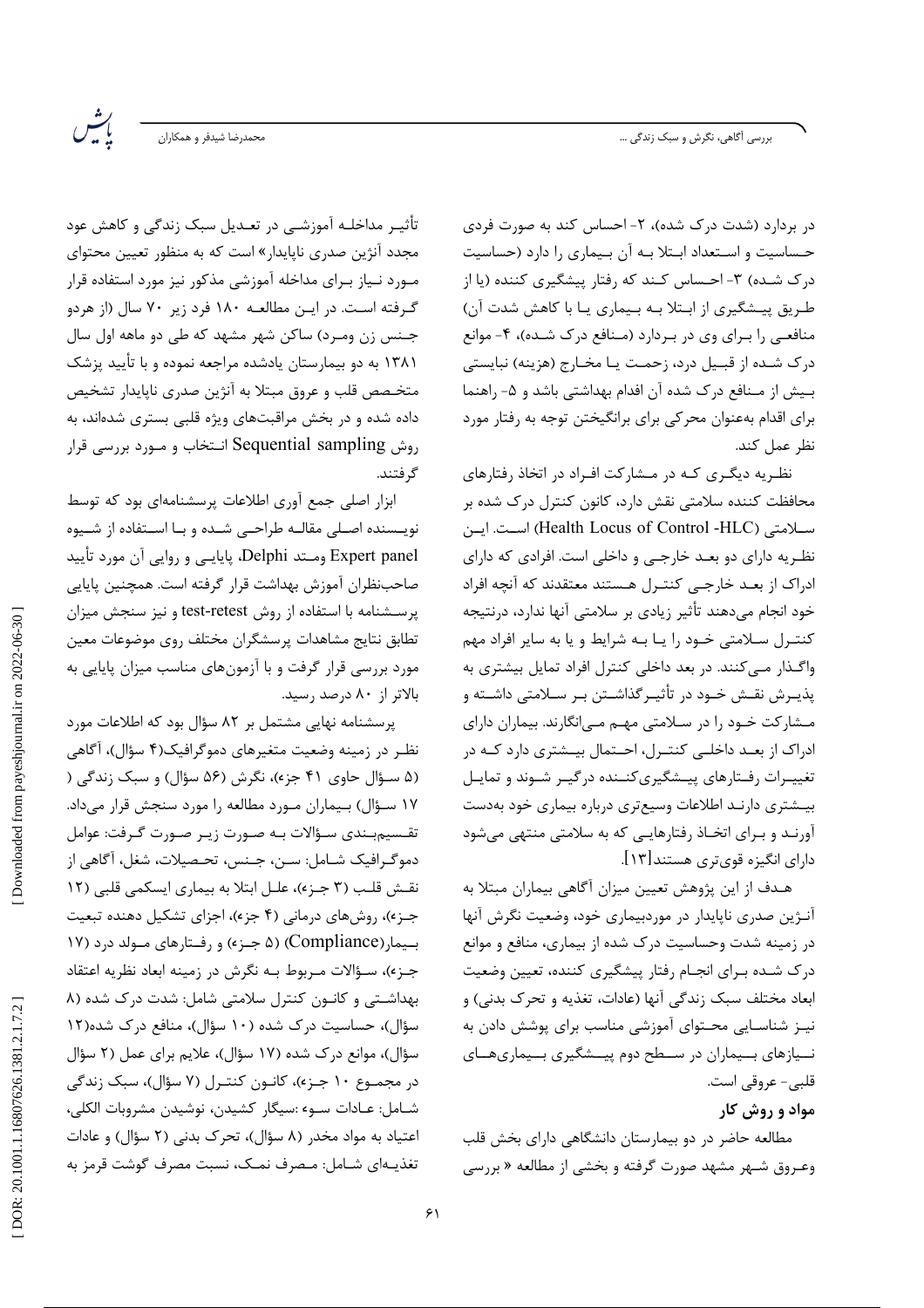بررسی اَگاهی، نگرش و سبک زندگی …

.<br>محمدرضا شیدفر و همکاران

يتس

در بردارد (شدت درک شده)، ۲- احساس کند به صورت فردی حساسیت و استعداد ابتلا به آن بیماری را دارد (حساسیت درک شـده) ۳- احـساس کـند که رفتار پیشگیری کننده (یا از طریق پیشگیری از ابتلا بـه بـیماری یـا با کاهش شدت آن) منافعی را بـرای وی در بـردارد (مـنافع درک شـده)، ۴- موانع درک شده از قبـیل درد، زحمـت یـا مخـارج (هزینه) نبایستی بیش از مـنافع درک شده آن افدام بهداشتی باشد و ۵- راهنما برای اقدام بهعنوان محرکی برای برانگیختن توجه به رفتار مورد نظر عمل كند.

نظـریه دیگـری کـه در مـشارکت افـراد در اتخاذ رفتارهای محافظت کننده سلامتی نقش دارد، کانون کنترل درک شده بر سلامتي (Health Locus of Control -HLC) است. ايسن نظـریه دارای دو بعـد خارجـی و داخلی است. افرادی که دارای ادراک از بعـد خارجـي کنتـرل هـستند معتقدند که آنچه افراد خود انجام میدهند تأثیر زیادی بر سلامتی آنها ندارد، درنتیجه کنترل سلامتی خـود را یـا بـه شرایط و یا به سایر افراد مهم واگذار میکنند. در بعد داخلی کنترل افراد تمایل بیشتری به یذیـرش نقـش خـود در تأثیـرگذاشـتن بـر سـلامتی داشـته و مشارکت خـود را در سـلامتي مهـم مـي|نگارند. بيماران داراي ادراک از بعـد داخلـی کنتـرل، احـتمال بیـشتری دارد کـه در تغییـرات رفـتارهای پیـشگیریکنـنده درگیـر شـوند و تمایـل بیـشتری دارنـد اطلاعات وسیعتری درباره بیماری خود بهدست آورنـد و بـرای اتخـاذ رفتارهایـی که به سلامتی منتهی میشود دارای انگیزه قویتری هستند[۱۳].

هـدف از این پژوهش تعیین میزان آگاهی بیماران مبتلا به آنـژين صدري ناپايدار در موردبيماري خود، وضعيت نگرش آنها در زمینه شدت وحساسیت درک شده از بیماری، منافع و موانع درک شـده بـراي انجـام رفتار پيشگيري كننده، تعيين وضعيت ابعاد مختلف سبک زندگی آنها (عادات، تغذیه و تحرک بدنی) و نیـز شناسـایی محـتوای آموزشی مناسب برای پوشش دادن به نـيازهاي بـيماران در سـطح دوم پيــشگيري بـيماريهــاي قلبي - عروقي است.

مواد و روش کار

مطالعه حاضر در دو بیمارستان دانشگاهی دارای بخش قلب وعـروق شـهر مشهد صورت گرفته و بخشی از مطالعه « بررسی

تأثیــ, مداخلــه آموزشــی در تعــدیل سبک زندگی و کاهش عود مجدد آنژین صدری ناپایدار» است که به منظور تعیین محتوای مـورد نـياز بـراى مداخله آموزشى مذكور نيز مورد استفاده قرار گـرفته اسـت. در ايـن مطالعـه ۱۸۰ فرد زير ۷۰ سال (از هردو جـنس زن ومـرد) ساكن شهر مشهد كه طي دو ماهه اول سال ۱۳۸۱ به دو بیمارستان یادشده مراجعه نموده و با تأیید پزشک متخـصص قلب و عروق مبتلا به آنژین صدری نایایدار تشخیص داده شده و در بخش مراقبتهای ویژه قلبی بستری شدهاند، به روش Sequential sampling انتخاب و مـورد بررسي قرار گر فتند.

ابزار اصلی جمع آوری اطلاعات پرسشنامهای بود که توسط نویسنده اصلی مقالـه طراحـی شـده و بـا اسـتفاده از شـیوه Expert panel ومــتد Delphi، پایایــی و روایی آن مورد تأیید صاحبنظران آموزش بهداشت قرار گرفته است. همچنین پایایی پرسشنامه با استفاده از روش test-retest و نیز سنجش میزان تطابق نتايج مشاهدات پرسشگران مختلف روى موضوعات معين مورد بررسی قرار گرفت و با آزمونهای مناسب میزان پایایی به بالاتر از ۸۰ درصد رسید.

یرسشنامه نهایی مشتمل بر ۸۲ سؤال بود که اطلاعات مورد نظـر در زمینه وضعیت متغیرهای دموگرافیک(۴ سؤال)، آگاهی (۵ سـؤال حاوي ۴۱ جزء)، نگرش (۵۶ سؤال) و سبک زندگی ( ۱۷ سـؤال) بـیماران مـورد مطالعه را مورد سنجش قرار میداد. تقـسیم.ِــندی سـؤالات بـه صـورت زیـر صـورت گـرفت: عوامل دموگـرافیک شــامل: ســن، جــنس، تحـصیلات، شغل، آگاهی از نقش قلب (٣ جـزء)، علـل ابتلا به بيماري ايسكمي قلبي (١٢ جـز»)، روشهای درمانی (۴ جز»)، اجزای تشکیل دهنده تبعیت بسیمار (Compliance) (۵ جـزء) و رفـتارهای مـولد درد (۱۷ جـز»)، سـؤالات مـربوط بـه نگرش در زمينه ابعاد نظريه اعتقاد بهداشتی و کانون کنترل سلامتی شامل: شدت درک شده (۸ سؤال)، حساسیت درک شده (۱۰ سؤال)، منافع درک شده(۱۲ سؤال)، موانع درک شده (۱۷ سؤال)، علایم برای عمل (۲ سؤال در مجمـوع ۱۰ جـزء)، کانـون کنتـرل (۷ سؤال)، سبک زندگی شـامل: عـادات سـوء :سيگار كشيدن، نوشيدن مشروبات الكلي، اعتیاد به مواد مخدر (۸ سؤال)، تحرک بدنی (۲ سؤال) و عادات تغذيـهاي شـامل: مـصرف نمـک، نسبت مصرف گوشت قرمز به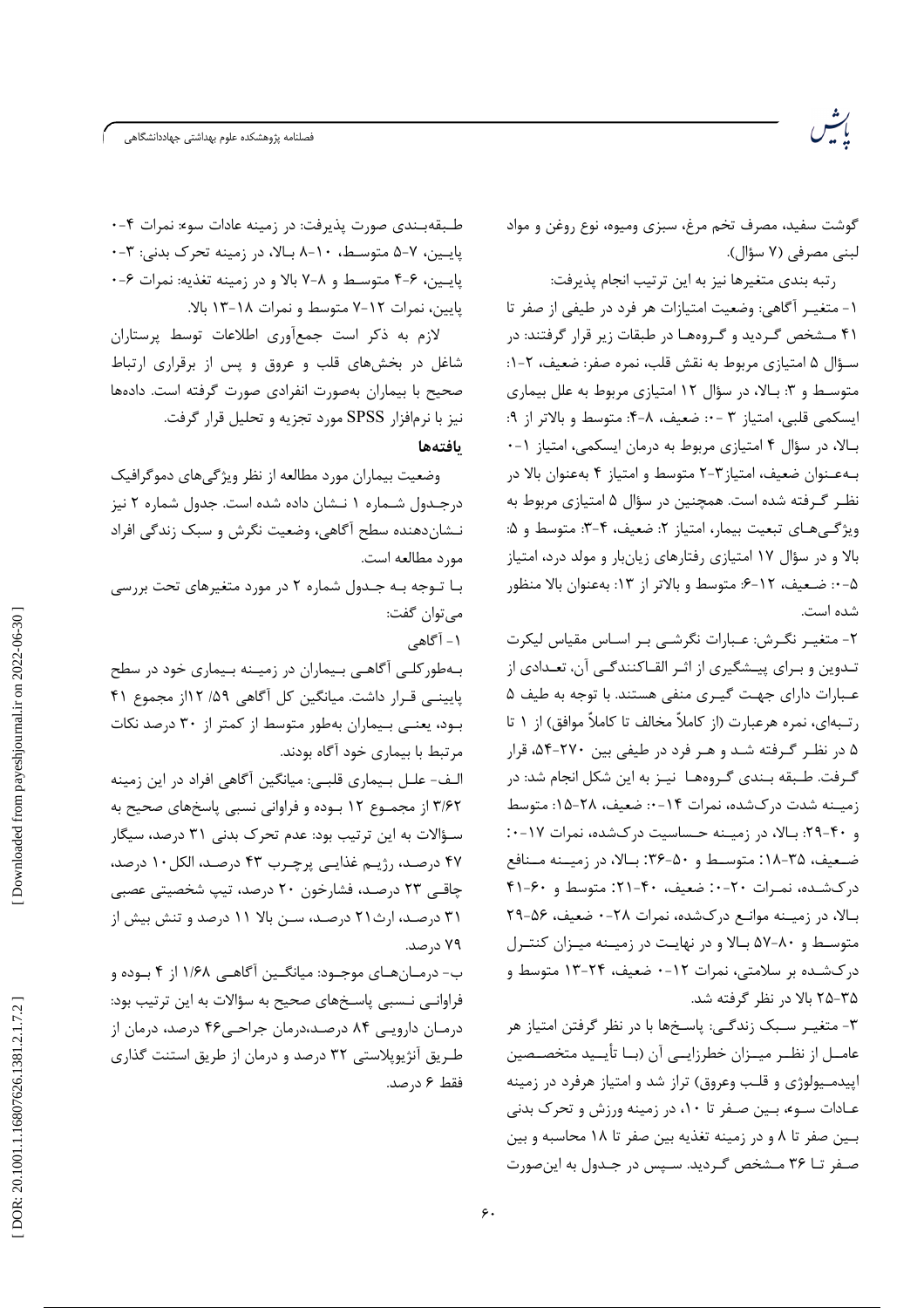گوشت سفید، مصرف تخم مرغ، سبزی ومیوه، نوع روغن و مواد لبني مصرفي (٧ سؤال).

رتبه بندي متغيرها نيز به اين ترتيب انجام يذيرفت: ١- متغيـر آگاهي: وضعيت امتيازات هر فرد در طيفي از صفر تا ۴۱ مشخص گردید و گروهها در طبقات زیر قرار گرفتند: در سـؤال ۵ امتيازي مربوط به نقش قلب، نمره صفر: ضعيف، ۲-۱: متوسط و ۳: بالا، در سؤال ۱۲ امتیازی مربوط به علل بیماری ايسكمي قلبي، امتياز ٣ - ٠: ضعيف، ٨-۴: متوسط و بالاتر از ٩: بالا، در سؤال ۴ امتیازی مربوط به درمان ایسکمی، امتیاز ۱-۰ بـهعـنوان ضعيف، امتياز ٣-٢ متوسط و امتياز ۴ بهعنوان بالا در نظر گرفته شده است. همچنین در سؤال ۵ امتیازی مربوط به ويژگيهاي تبعيت بيمار، امتياز ٢: ضعيف، ۴-٣: متوسط و ۵: بالا و در سؤال ١٧ امتيازي رفتارهاي زيانبار و مولد درد، امتياز ۵- ·: ضعيف، ١٢-۶: متوسط و بالاتر از ١٣: بهعنوان بالا منظور شده است.

٢- متغيـر نگـرش: عـبارات نگرشـى بـر اسـاس مقياس ليكرت تـدوین و بـرای پیــشگیری از اثـر القــاکنندگــی آن، تعــدادی از عبارات دارای جهت گیری منفی هستند. با توجه به طیف ۵ رتـبه|ى، نمره هرعبارت (از كاملاً مخالف تا كاملاً موافق) از ١ تا ۵ در نظـر گـرفته شـد و هـر فرد در طيفي بين ۲۷۰-۵۴، قرار گرفت. طـبقه بـندي گـروههـا نيـز به اين شكل انجام شد: در زمیـنه شدت در کشده، نمرات ۱۴-۰: ضعیف، ۲۸-۱۵: متوسط و ۴۰-۲۹: بالا، در زمیـنه حـساسیت درکشده، نمرات ۱۷-۰: ضعیف، ۲۵-۱۸: متوسط و ۵۰-۳۶: بالا، در زمیـنه مـنافع درکشده، نمـرات ٢٠-٠: ضعیف، ۴۰-۲۱: متوسط و ۴۰-۴۱ بالا، در زمیـنه موانـع درکشده، نمرات ۲۸-۰ ضعیف، ۵۶-۲۹ متوسط و ۸۰-۵۷ بالا و در نهایت در زمینه میبزان کنتبرل درکشـده بر سلامتی، نمرات ۱۲-۰ ضعیف، ۲۴-۱۳ متوسط و ۳۵-۲۵ بالا در نظر گرفته شد.

٣- متغيـر سـبک زندگـي: پاسـخها با در نظر گرفتن امتياز هر عامــل از نظــر ميــزان خطرزايــي آن (بــا تأيــيد متخصــصين اییدمـیولوژی و قلـب وعروق) تراز شد و امتیاز هرفرد در زمینه عـادات سـو، بـين صـفر تا ١٠، در زمينه ورزش و تحرک بدنى بين صفر تا ٨ و در زمينه تغذيه بين صفر تا ١٨ محاسبه و بين صـغر تــا ۳۶ مـشخص گـرديد. سـيس در جـدول به اين صورت

طبقهبندی صورت پذیرفت: در زمینه عادات سوء: نمرات ۴-۰ پایین، ۷-۵ متوسط، ۱۰-۸ بالا، در زمینه تحرک بدنی: ۳-۰ يايين، ۶-۴ متوسط و ٨-٧ بالا و در زمينه تغذيه: نمرات ۶-٠ پایین، نمرات ۷-۱۲ متوسط و نمرات ۱۸-۱۳ بالا.

لازم به ذکر است جمعآوری اطلاعات توسط پرستاران شاغل در بخشهای قلب و عروق و پس از برقراری ارتباط صحیح با بیماران بهصورت انفرادی صورت گرفته است. دادهها نیز با نرمافزار SPSS مورد تجزیه و تحلیل قرار گرفت.

يافتهها

وضعیت بیماران مورد مطالعه از نظر ویژگیهای دموگرافیک درجـدول شـماره ١ نـشان داده شده است. جدول شماره ٢ نيز نـشاندهنده سطح آگاهي، وضعيت نگرش و سبک زندگي افراد مورد مطالعه است.

با توجه به جـدول شماره ۲ در مورد متغیرهای تحت بررسی مي توان گفت:

۱ – آگاهي

بـهطور کلـی آگاهـی بـیماران در زمیـنه بـیماری خود در سطح پایینے قـرار داشت. میانگین کل آگاهی ۵۹/ ۱۲از مجموع ۴۱ بود، یعنی بیماران بهطور متوسط از کمتر از ۳۰ درصد نکات مرتبط با بیماری خود آگاه بودند.

الـف- علـل بـيماري قلبـي: ميانگين أگاهي افراد در اين زمينه ۳/۶۲ از مجمـوع ۱۲ بـوده و فراوانی نسبی پاسخهای صحیح به سـؤالات به این ترتیب بود: عدم تحرک بدنی ۳۱ درصد، سیگار ۴۷ درصد، رژیـم غذایـی پرچـرب ۴۳ درصـد، الکل ۱۰ درصد، چاقبی ۲۳ درصـد، فشارخون ۲۰ درصد، تیپ شخصیتی عصبی ۳۱ درصد، ارث۲۱ درصد، سـن بالا ۱۱ درصد و تنش بیش از ۷۹ د, صد.

ب- درمـانهـاي موجـود: ميانگـين أكاهـي ١/۶٨ از ۴ بـوده و فراوانی نـسبی پاسـخهای صحیح به سؤالات به این ترتیب بود: درمـان دارویــی ۸۴ درصـد،درمان جراحــی۴۶ درصد، درمان از طریق آنژیویلاستی ۳۲ درصد و درمان از طریق استنت گذاری فقط ۶ د, صد.

Downloaded from payeshjournal.ir on 2022-06-30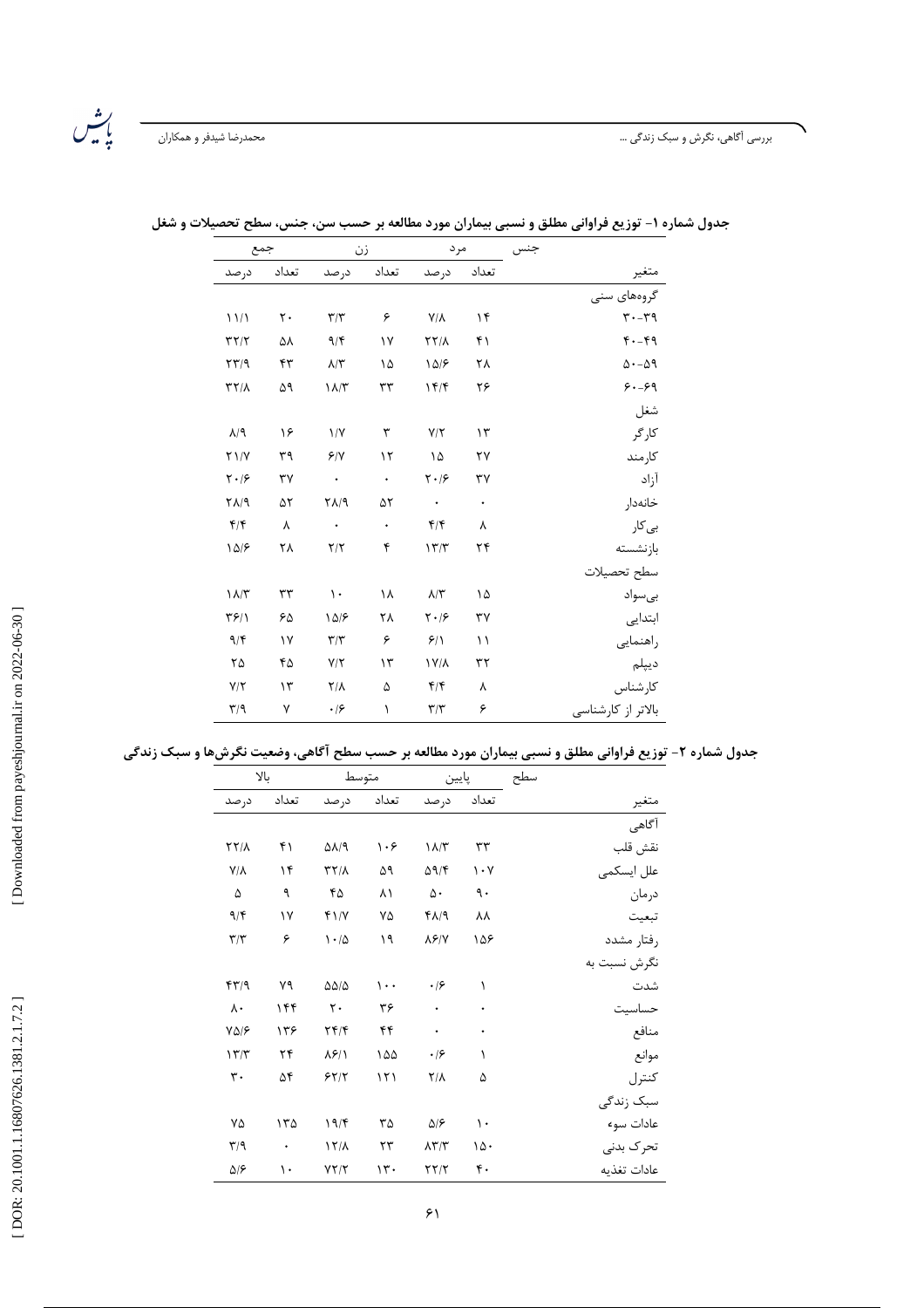## بررسی اَگاهی، نگرش و سبک زندگی …

| جمع                                  |          | زن                        |           | مرد                                                           |               | جنس                 |
|--------------------------------------|----------|---------------------------|-----------|---------------------------------------------------------------|---------------|---------------------|
| درصد                                 | تعداد    | درصد                      | تعداد     | درصد                                                          | تعداد         | متعير               |
|                                      |          |                           |           |                                                               |               | گروههای سنی         |
| 11/1                                 | ٢.       | $\tau/\tau$               | ۶         | $\mathsf{Y}/\mathsf{Y}$                                       | $\mathcal{N}$ | $r - rq$            |
| $\tau\tau/\tau$                      | ۵۸       | 9/5                       | ١٧        | $\Upsilon \Upsilon/\Lambda$                                   | ۴۱            | $F - F9$            |
| $\mathbf{Y} \mathbf{Y} / \mathbf{Y}$ | ۴٣       | $\lambda/\Upsilon$        | ١۵        | 10/8                                                          | ٢٨            | $\Delta - \Delta$ ۹ |
| $\tau\tau/\lambda$                   | ۵۹       | $\lambda/\tau$            | ٣٣        | 15/                                                           | ۲۶            | $9 - 99$            |
|                                      |          |                           |           |                                                               |               | شغل                 |
| $\lambda$ /9                         | ۱۶       | $\frac{1}{\sqrt{2}}$      | ٣         | $Y/\Upsilon$                                                  | $\gamma$      | کارگر               |
| $Y \frac{1}{Y}$                      | ٣٩       | 8/1                       | ۱٢        | ۱۵                                                            | ٢٧            | كارمند              |
| $\mathbf{Y} \cdot \mathbf{19}$       | ٣٧       | $\langle \rangle$ .       | $\bullet$ | $\mathbf{Y}\boldsymbol{\cdot} \mathbf{ }\mathbf{\mathcal{S}}$ | ٣٧            | آزاد                |
| ۲۸/۹                                 | ۵٢       | $Y\Lambda$ /9             | ۵٢        | $\bullet$                                                     | $\bullet$     | خانەدار             |
| $f/\mathfrak{f}$                     | λ        | $\langle \bullet \rangle$ | $\bullet$ | $f/\mathfrak{f}$                                              | λ             | بی کار              |
| 10/5                                 | ۲۸       | $\mathbf{Y}/\mathbf{Y}$   | ۴         | 177                                                           | ۲۴            | بازنشسته            |
|                                      |          |                           |           |                                                               |               | سطح تحصيلات         |
| $\lambda/\tau$                       | ٣٣       | $\mathcal{N}$             | ۱۸        | $\lambda/\tau$                                                | ۱۵            | بىسواد              |
| ۳۶/۱                                 | ۶۵       | 10/5                      | ٢٨        | $\mathbf{Y}\boldsymbol{\cdot} \mathbf{ }\mathbf{\mathcal{S}}$ | ٣٧            | ابتدایی             |
| 9/5                                  | ١٧       | $\tau/\tau$               | ۶         | 9/1                                                           | ۱۱            | راهنمايي            |
| ۲۵                                   | ۴۵       | $Y/\Upsilon$              | $\gamma$  | $\frac{1}{\sqrt{2}}$                                          | ٣٢            | ديپلم               |
| $Y/\tau$                             | $\gamma$ | $Y/\lambda$               | ۵         | $f/\mathfrak{f}$                                              | ٨             | كارشناس             |
| $\mathbf{r}/\mathbf{q}$              | ٧        | $\cdot$ /۶                | $\lambda$ | $\tau/\tau$                                                   | ۶             | بالاتر از کارشناسی  |

جدول شماره ۱- توزیع فراوانی مطلق و نسبی بیماران مورد مطالعه بر حسب سن، جنس، سطح تحصیلات و شغل

|              | سطح | پايين                           |                             |          | متوسط                                |           | بالا                       |
|--------------|-----|---------------------------------|-----------------------------|----------|--------------------------------------|-----------|----------------------------|
|              |     |                                 |                             |          |                                      |           |                            |
| متغير        |     | تعداد                           | در صد                       | تعداد    | در صد                                | تعداد     | در صد                      |
| آگاهی        |     |                                 |                             |          |                                      |           |                            |
| نقش قلب      |     | ٣٣                              | $\Lambda/\tau$              | ۱۰۶      | $\Delta\lambda$ /9                   | ۴۱        | $\Upsilon\Upsilon/\Lambda$ |
| علل ایسکمی   |     | $\mathcal{N} \cdot \mathcal{N}$ | $\Delta$ 9/۴                | ۵۹       | $\tau\tau/\lambda$                   | ۱۴        | $V/\Lambda$                |
| درمان        |     | ٩.                              | ۵۰                          | ۸۱       | ۴۵                                   | ٩         | ۵                          |
| تبعيت        |     | ٨٨                              | $f\Lambda/9$                | ٧۵       | $f \frac{1}{\sqrt{2}}$               | ١٧        | 9/5                        |
| رفتار مشدد   |     | ۱۵۶                             | $\lambda$ ۶/۷               | ۱۹       | $1 - \Delta$                         | ۶         | $\tau/\tau$                |
| نگرش نسبت به |     |                                 |                             |          |                                      |           |                            |
| شدت          |     | ١                               | $\cdot$ /۶                  | $\cdots$ | $\Delta\Delta/\Delta$                | ٧٩        | $f\uparrow\uparrow/9$      |
| حساسيت       |     | ۰                               | ۰                           | ٣۶       | $\mathsf{r}$ .                       | ۱۴۴       | $\lambda$ .                |
| منافع        |     | ۰                               | $\bullet$                   | ۴۴       | $\mathbf{Y} \mathbf{Y} / \mathbf{Y}$ | ۱۳۶       | $Y\Delta/\mathcal{F}$      |
| موانع        |     | ١                               | $\cdot$ /۶                  | ۱۵۵      | $\lambda$ ۶/ $\lambda$               | ۲۴        | 177                        |
| كنترل        |     | ۵                               | $Y/\lambda$                 | 151      | 55/7                                 | ۵۴        | $\mathfrak{r}$ .           |
| سبک زندگی    |     |                                 |                             |          |                                      |           |                            |
| عادات سوء    |     | $\mathcal{L}$                   | ۵۱۶                         | ٣۵       | 19/                                  | ۱۳۵       | ٧۵                         |
| تحرک بدنی    |     | ۱۵۰                             | $\lambda \Upsilon/\Upsilon$ | ۲۳       | $17/\lambda$                         | $\bullet$ | $\mathbf{r}/\mathbf{q}$    |
| عادات تغذيه  |     | ۴٠                              | YY/Y                        | 15.      | YY/Y                                 | ١٠        | ۵۱۶                        |

جدول شماره ۲- توزیع فراوانی مطلق و نسبی بیماران مورد مطالعه بر حسب سطح آگاهی، وضعیت نگرشها و سبک زندگی

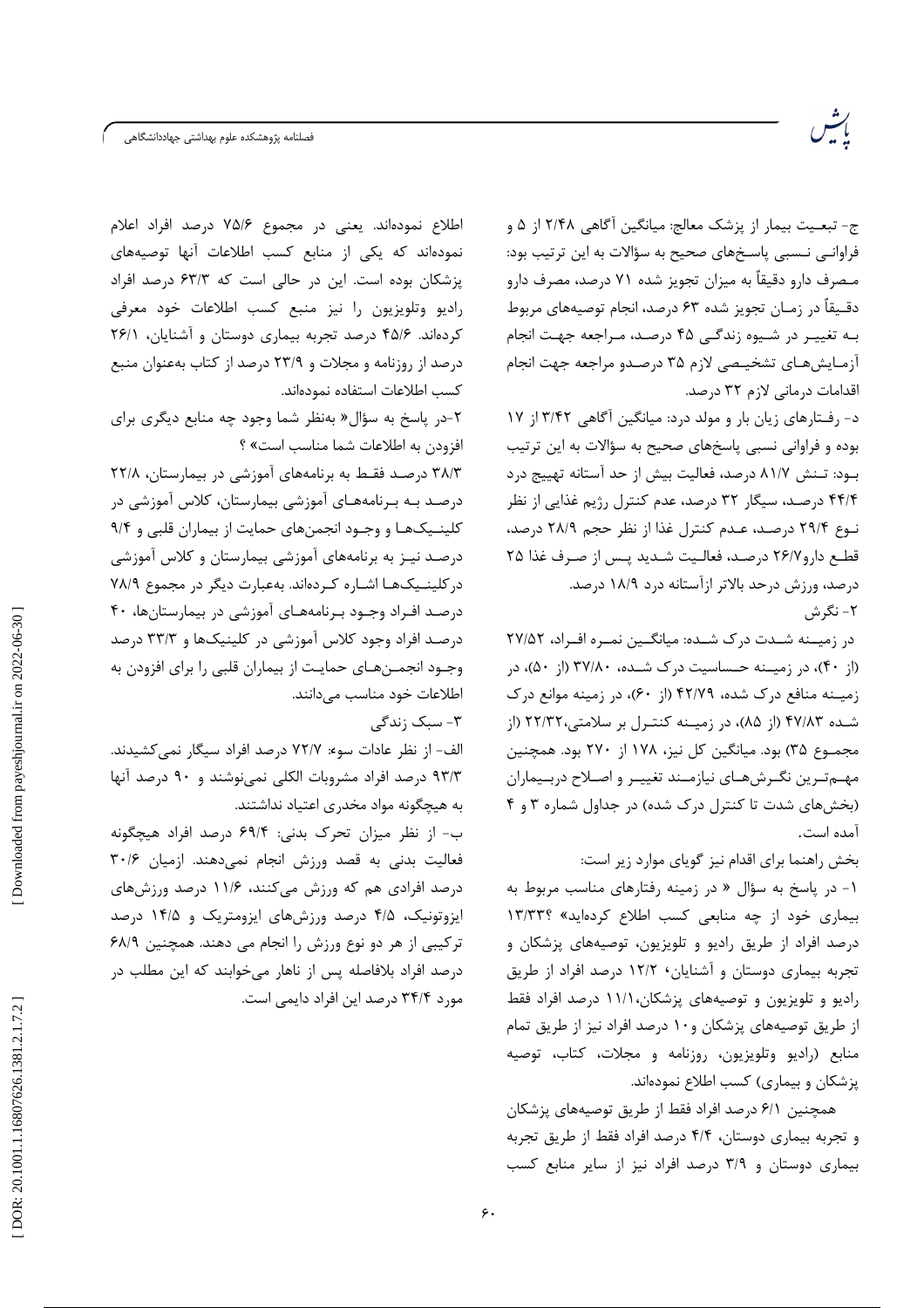فصلنامه پژوهشكده علوم بهداشتى جهاددانشگاهى

ج- تبعـيت بيمار از پزشک معالج: ميانگين آگاهي ٢/۴۸ از ۵ و فراوانی نـسبی پاسـخهای صحیح به سؤالات به این ترتیب بود: مـصرف دارو دقيقاً به ميزان تجويز شده ۷۱ درصد، مصرف دارو دقـيقاً در زمـان تجويز شده ۶۳ درصد، انجام توصيههاي مربوط بـه تغییـر در شـیوه زندگـی ۴۵ درصـد، مـراجعه جهـت انجام آزمايش هاي تشخيصي لازم ٣۵ درصدو مراجعه جهت انجام اقدامات درمانی لازم ٣٢ درصد.

د- رفـتارهای زیان بار و مولد درد: میانگین آگاهی ۳/۴۲ از ۱۷ بوده و فراوانی نسبی پاسخهای صحیح به سؤالات به این ترتیب بـود: تـنش ٨١/٧ درصد، فعاليت بيش از حد آستانه تهييج درد ۴۴/۴ درصـد، سیگار ۳۲ درصد، عدم کنترل رژیم غذایی از نظر نوع ۲۹/۴ درصد، عـدم كنترل غذا از نظر حجم ۲۸/۹ درصد، قطع دارو ٢۶/٧ درصد، فعاليت شديد پس از صرف غذا ٢٥ درصد، ورزش درحد بالاتر ازآستانه درد ۱۸/۹ درصد. ۲- نگرش

در زمیــنه شــدت درک شــده: میانگــین نمـره افـراد، ۲۷/۵۲ (از ۴۰)، در زمیــنه حـساسیت درک شــده، ۳۷/۸۰ (از ۵۰)، در زمیـنه منافع درک شده، ۴۲/۷۹ (از ۶۰)، در زمینه موانع درک شـده ۴۷/۸۳ (از ۸۵)، در زمیـنه کنتـرل بر سلامتی،۲۲/۳۲ (از مجمـوع ٣۵) بود. ميانگين كل نيز، ١٧٨ از ٢٧٠ بود. همچنين مهسم ترین نگرشهای نیازمـند تغییـر و اصـلاح دربـیماران (بخش های شدت تا کنترل درک شده) در جداول شماره ۳ و ۴ آمده است.

بخش راهنما برای اقدام نیز گویای موارد زیر است: ۱- در پاسخ به سؤال « در زمینه رفتارهای مناسب مربوط به بیماری خود از چه منابعی کسب اطلاع کردهاید» ١٣/٣٣؟ درصد افراد از طريق راديو و تلويزيون، توصيههاي پزشكان و تجربه بیماری دوستان و آشنایان، ۱۲/۲ درصد افراد از طریق رادیو و تلویزیون و توصیههای پزشکان،۱۱/۱ درصد افراد فقط از طریق توصیههای پزشکان و ۱۰ درصد افراد نیز از طریق تمام منابع (راديو وتلويزيون، روزنامه و مجلات، كتاب، توصيه یزشکان و بیماری) کسب اطلاع نمودهاند.

همچنین ۶/۱ درصد افراد فقط از طریق توصیههای پزشکان و تجربه بیماری دوستان، ۴/۴ درصد افراد فقط از طریق تجربه بیماری دوستان و ۳/۹ درصد افراد نیز از سایر منابع کسب

اطلاع نمودهاند. یعنی در مجموع ۷۵/۶ درصد افراد اعلام نمودهاند که یکی از منابع کسب اطلاعات آنها توصیههای یزشکان بوده است. این در حالی است که ۶۳/۳ درصد افراد رادیو وتلویزیون را نیز منبع کسب اطلاعات خود معرفی کردهاند. ۴۵/۶ درصد تجربه بیماری دوستان و آشنایان، ۲۶/۱ درصد از روزنامه و مجلات و ۲۳/۹ درصد از کتاب بهعنوان منبع كسب اطلاعات استفاده نمودهاند.

۲-در پاسخ به سؤال« بهنظر شما وجود چه منابع دیگری برای افزودن به اطلاعات شما مناسب است» ؟

۳۸/۳ درصد فقط به برنامههای آموزشی در بیمارستان، ۲۲/۸ درصـد بـه بـرنامههـای آموزشی بیمارستان، کلاس آموزشی در کلینـیکهـا و وجـود انجمنهای حمایت از بیماران قلبی و ۹/۴ درصـد نیـز به برنامههای آموزشی بیمارستان و کلاس آموزشی در کلینـیکهـا اشـاره کـردهاند. بهعبارت دیگر در مجموع ۷۸/۹ درصد افـراد وجـود بـرنامههـای آموزشی در بیمارستانها، ۴۰ درصـد افراد وجود کلاس آموزشی در کلینیکها و ۳۳/۳ درصد وجـود انجمــنهـاي حمايـت از بيماران قلبي را براي افزودن به اطلاعات خود مناسب می دانند.

۳- سبک زندگے ِ

الف- از نظر عادات سوء: ٧٢/٧ درصد افراد سيگار نمي كشيدند. ۹۳/۳ درصد افراد مشروبات الکلی نمی،نوشند و ۹۰ درصد آنها به هیچگونه مواد مخدری اعتیاد نداشتند.

ب- از نظر میزان تحرک بدنی: ۶۹/۴ درصد افراد هیچگونه فعاليت بدنى به قصد ورزش انجام نمى دهند. ازميان ٣٠/۶ درصد افرادی هم که ورزش میکنند، ۱۱/۶ درصد ورزشهای ایزوتونیک، ۴/۵ درصد ورزشهای ایزومتریک و ۱۴/۵ درصد ترکیبی از هر دو نوع ورزش را انجام می دهند. همچنین ۶۸/۹ درصد افراد بلافاصله پس از ناهار میخوابند که این مطلب در مورد ۳۴/۴ درصد این افراد دایمی است.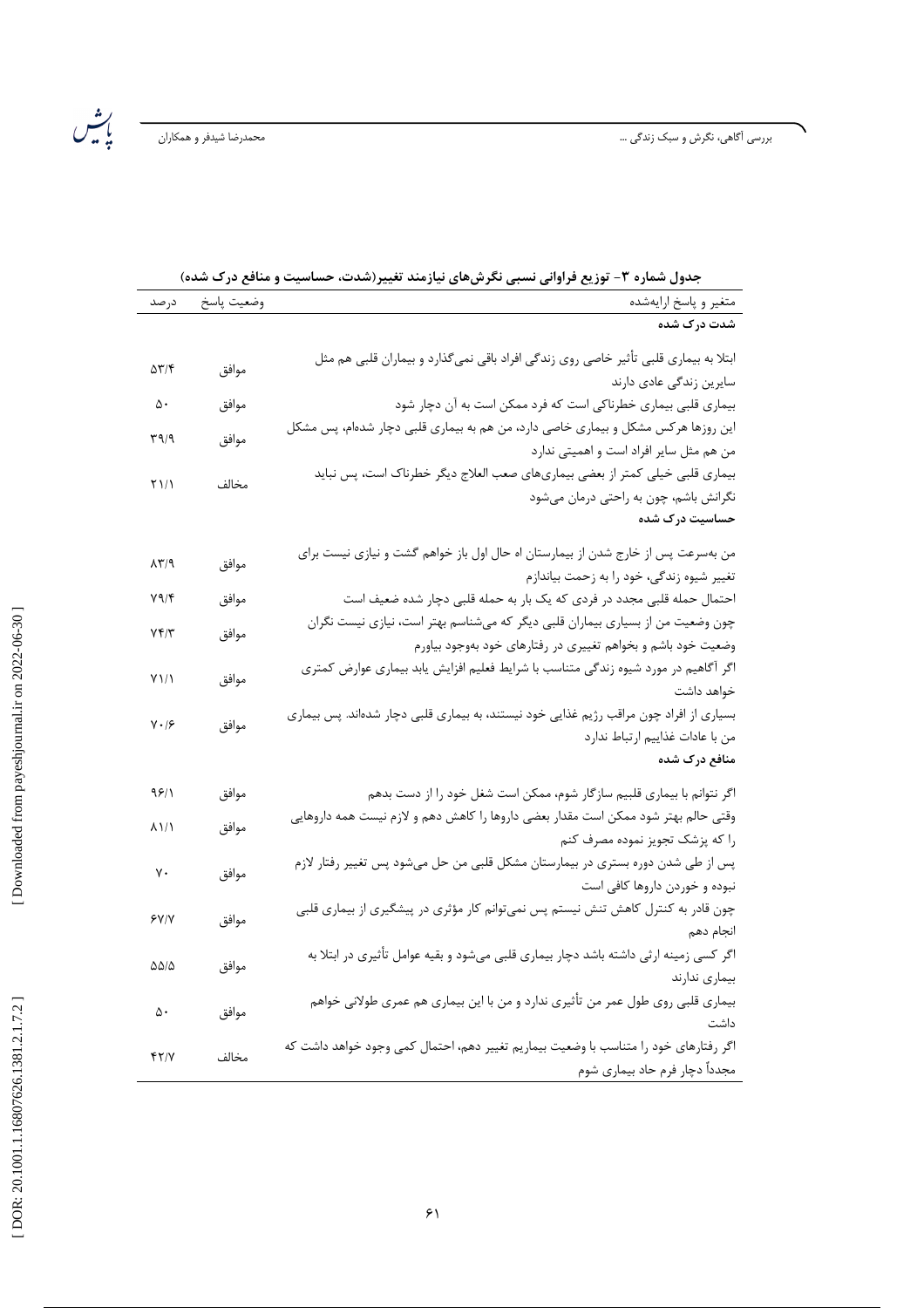ىش<br>باش

| شدت درک شده<br>ابتلا به بیماری قلبی تأثیر خاصی روی زندگی افراد باقی نمیگذارد و بیماران قلبی هم مثل<br>موافق<br>53714<br>سایرین زندگی عادی دارند<br>$\Delta \cdot$<br>بیماری قلبی بیماری خطرناکی است که فرد ممکن است به آن دچار شود<br>موافق<br>این روزها هرکس مشکل و بیماری خاصی دارد، من هم به بیماری قلبی دچار شدهام، پس مشکل<br>موافق<br>۳۹/۹<br>من هم مثل سایر افراد است و اهمیتی ندارد<br>بیماری قلبی خیلی کمتر از بعضی بیماریهای صعب العلاج دیگر خطرناک است، پس نباید<br>۲۱/۱<br>مخالف<br>نگرانش باشم، چون به راحتی درمان میشود<br>حساسیت درک شده<br>من بهسرعت پس از خارج شدن از بیمارستان اه حال اول باز خواهم گشت و نیازی نیست برای<br>موافق<br>$\lambda \Upsilon / 9$<br>تغییر شیوه زندگی، خود را به زحمت بیاندازم<br>احتمال حمله قلبی مجدد در فردی که یک بار به حمله قلبی دچار شده ضعیف است<br>$Y \Upsilon$<br>موافق<br>چون وضعیت من از بسیاری بیماران قلبی دیگر که میشناسم بهتر است، نیازی نیست نگران<br>$Yf/\tau$<br>موافق<br>وضعیت خود باشم و بخواهم تغییری در رفتارهای خود بهوجود بیاورم<br>اگر آگاهیم در مورد شیوه زندگی متناسب با شرایط فعلیم افزایش یابد بیماری عوارض کمتری<br>موافق<br>$Y\setminus\setminus$<br>خواهد داشت<br>بسیاری از افراد چون مراقب رژیم غذایی خود نیستند، به بیماری قلبی دچار شدهاند. پس بیماری<br>$Y \cdot 19$<br>موافق<br>من با عادات غذاييم ارتباط ندارد<br>منافع درک شده<br>موافق<br>9811<br>اگر نتوانم با بیماری قلبیم سازگار شوم، ممکن است شغل خود را از دست بدهم<br>وقتی حالم بهتر شود ممکن است مقدار بعضی داروها را کاهش دهم و لازم نیست همه داروهایی<br>8111<br>موافق<br>را که پزشک تجویز نموده مصرف کنم<br>پس از طی شدن دوره بستری در بیمارستان مشکل قلبی من حل میشود پس تغییر رفتار لازم<br>٧٠<br>موافق<br>نبوده و خوردن داروها کافی است<br>چون قادر به کنترل کاهش تنش نیستم پس نمی¤وانم کار مؤثری در پیشگیری از بیماری قلبی<br>موافق<br>۶۷/۷<br>انجام دهم<br>اگر کسی زمینه ارثی داشته باشد دچار بیماری قلبی میشود و بقیه عوامل تأثیری در ابتلا به<br>۵۵/۵<br>موافق<br>بيمارى ندارند<br>بیماری قلبی روی طول عمر من تأثیری ندارد و من با این بیماری هم عمری طولانی خواهم<br>موافق<br>۵۰<br>داشت<br>اگر رفتارهای خود را متناسب با وضعیت بیماریم تغییر دهم، احتمال کمی وجود خواهد داشت که<br>YY/Y<br>مخالف | $\cdot$ . $\cdot$ .<br>$\bullet$ |            |      |
|-----------------------------------------------------------------------------------------------------------------------------------------------------------------------------------------------------------------------------------------------------------------------------------------------------------------------------------------------------------------------------------------------------------------------------------------------------------------------------------------------------------------------------------------------------------------------------------------------------------------------------------------------------------------------------------------------------------------------------------------------------------------------------------------------------------------------------------------------------------------------------------------------------------------------------------------------------------------------------------------------------------------------------------------------------------------------------------------------------------------------------------------------------------------------------------------------------------------------------------------------------------------------------------------------------------------------------------------------------------------------------------------------------------------------------------------------------------------------------------------------------------------------------------------------------------------------------------------------------------------------------------------------------------------------------------------------------------------------------------------------------------------------------------------------------------------------------------------------------------------------------------------------------------------------------------------------------------------------------------------------------------------------------------------------------------------------------------------------------------------------------------------------------------|----------------------------------|------------|------|
|                                                                                                                                                                                                                                                                                                                                                                                                                                                                                                                                                                                                                                                                                                                                                                                                                                                                                                                                                                                                                                                                                                                                                                                                                                                                                                                                                                                                                                                                                                                                                                                                                                                                                                                                                                                                                                                                                                                                                                                                                                                                                                                                                           | متغير و پاسخ ارايهشده            | وضعيت پاسخ | درصد |
|                                                                                                                                                                                                                                                                                                                                                                                                                                                                                                                                                                                                                                                                                                                                                                                                                                                                                                                                                                                                                                                                                                                                                                                                                                                                                                                                                                                                                                                                                                                                                                                                                                                                                                                                                                                                                                                                                                                                                                                                                                                                                                                                                           |                                  |            |      |
|                                                                                                                                                                                                                                                                                                                                                                                                                                                                                                                                                                                                                                                                                                                                                                                                                                                                                                                                                                                                                                                                                                                                                                                                                                                                                                                                                                                                                                                                                                                                                                                                                                                                                                                                                                                                                                                                                                                                                                                                                                                                                                                                                           |                                  |            |      |
|                                                                                                                                                                                                                                                                                                                                                                                                                                                                                                                                                                                                                                                                                                                                                                                                                                                                                                                                                                                                                                                                                                                                                                                                                                                                                                                                                                                                                                                                                                                                                                                                                                                                                                                                                                                                                                                                                                                                                                                                                                                                                                                                                           |                                  |            |      |
|                                                                                                                                                                                                                                                                                                                                                                                                                                                                                                                                                                                                                                                                                                                                                                                                                                                                                                                                                                                                                                                                                                                                                                                                                                                                                                                                                                                                                                                                                                                                                                                                                                                                                                                                                                                                                                                                                                                                                                                                                                                                                                                                                           |                                  |            |      |
|                                                                                                                                                                                                                                                                                                                                                                                                                                                                                                                                                                                                                                                                                                                                                                                                                                                                                                                                                                                                                                                                                                                                                                                                                                                                                                                                                                                                                                                                                                                                                                                                                                                                                                                                                                                                                                                                                                                                                                                                                                                                                                                                                           |                                  |            |      |
|                                                                                                                                                                                                                                                                                                                                                                                                                                                                                                                                                                                                                                                                                                                                                                                                                                                                                                                                                                                                                                                                                                                                                                                                                                                                                                                                                                                                                                                                                                                                                                                                                                                                                                                                                                                                                                                                                                                                                                                                                                                                                                                                                           |                                  |            |      |
|                                                                                                                                                                                                                                                                                                                                                                                                                                                                                                                                                                                                                                                                                                                                                                                                                                                                                                                                                                                                                                                                                                                                                                                                                                                                                                                                                                                                                                                                                                                                                                                                                                                                                                                                                                                                                                                                                                                                                                                                                                                                                                                                                           |                                  |            |      |
|                                                                                                                                                                                                                                                                                                                                                                                                                                                                                                                                                                                                                                                                                                                                                                                                                                                                                                                                                                                                                                                                                                                                                                                                                                                                                                                                                                                                                                                                                                                                                                                                                                                                                                                                                                                                                                                                                                                                                                                                                                                                                                                                                           |                                  |            |      |
|                                                                                                                                                                                                                                                                                                                                                                                                                                                                                                                                                                                                                                                                                                                                                                                                                                                                                                                                                                                                                                                                                                                                                                                                                                                                                                                                                                                                                                                                                                                                                                                                                                                                                                                                                                                                                                                                                                                                                                                                                                                                                                                                                           |                                  |            |      |
|                                                                                                                                                                                                                                                                                                                                                                                                                                                                                                                                                                                                                                                                                                                                                                                                                                                                                                                                                                                                                                                                                                                                                                                                                                                                                                                                                                                                                                                                                                                                                                                                                                                                                                                                                                                                                                                                                                                                                                                                                                                                                                                                                           |                                  |            |      |
|                                                                                                                                                                                                                                                                                                                                                                                                                                                                                                                                                                                                                                                                                                                                                                                                                                                                                                                                                                                                                                                                                                                                                                                                                                                                                                                                                                                                                                                                                                                                                                                                                                                                                                                                                                                                                                                                                                                                                                                                                                                                                                                                                           |                                  |            |      |
|                                                                                                                                                                                                                                                                                                                                                                                                                                                                                                                                                                                                                                                                                                                                                                                                                                                                                                                                                                                                                                                                                                                                                                                                                                                                                                                                                                                                                                                                                                                                                                                                                                                                                                                                                                                                                                                                                                                                                                                                                                                                                                                                                           |                                  |            |      |
|                                                                                                                                                                                                                                                                                                                                                                                                                                                                                                                                                                                                                                                                                                                                                                                                                                                                                                                                                                                                                                                                                                                                                                                                                                                                                                                                                                                                                                                                                                                                                                                                                                                                                                                                                                                                                                                                                                                                                                                                                                                                                                                                                           |                                  |            |      |
|                                                                                                                                                                                                                                                                                                                                                                                                                                                                                                                                                                                                                                                                                                                                                                                                                                                                                                                                                                                                                                                                                                                                                                                                                                                                                                                                                                                                                                                                                                                                                                                                                                                                                                                                                                                                                                                                                                                                                                                                                                                                                                                                                           |                                  |            |      |
|                                                                                                                                                                                                                                                                                                                                                                                                                                                                                                                                                                                                                                                                                                                                                                                                                                                                                                                                                                                                                                                                                                                                                                                                                                                                                                                                                                                                                                                                                                                                                                                                                                                                                                                                                                                                                                                                                                                                                                                                                                                                                                                                                           |                                  |            |      |
|                                                                                                                                                                                                                                                                                                                                                                                                                                                                                                                                                                                                                                                                                                                                                                                                                                                                                                                                                                                                                                                                                                                                                                                                                                                                                                                                                                                                                                                                                                                                                                                                                                                                                                                                                                                                                                                                                                                                                                                                                                                                                                                                                           |                                  |            |      |
|                                                                                                                                                                                                                                                                                                                                                                                                                                                                                                                                                                                                                                                                                                                                                                                                                                                                                                                                                                                                                                                                                                                                                                                                                                                                                                                                                                                                                                                                                                                                                                                                                                                                                                                                                                                                                                                                                                                                                                                                                                                                                                                                                           |                                  |            |      |
|                                                                                                                                                                                                                                                                                                                                                                                                                                                                                                                                                                                                                                                                                                                                                                                                                                                                                                                                                                                                                                                                                                                                                                                                                                                                                                                                                                                                                                                                                                                                                                                                                                                                                                                                                                                                                                                                                                                                                                                                                                                                                                                                                           |                                  |            |      |
|                                                                                                                                                                                                                                                                                                                                                                                                                                                                                                                                                                                                                                                                                                                                                                                                                                                                                                                                                                                                                                                                                                                                                                                                                                                                                                                                                                                                                                                                                                                                                                                                                                                                                                                                                                                                                                                                                                                                                                                                                                                                                                                                                           |                                  |            |      |
|                                                                                                                                                                                                                                                                                                                                                                                                                                                                                                                                                                                                                                                                                                                                                                                                                                                                                                                                                                                                                                                                                                                                                                                                                                                                                                                                                                                                                                                                                                                                                                                                                                                                                                                                                                                                                                                                                                                                                                                                                                                                                                                                                           |                                  |            |      |
|                                                                                                                                                                                                                                                                                                                                                                                                                                                                                                                                                                                                                                                                                                                                                                                                                                                                                                                                                                                                                                                                                                                                                                                                                                                                                                                                                                                                                                                                                                                                                                                                                                                                                                                                                                                                                                                                                                                                                                                                                                                                                                                                                           |                                  |            |      |
|                                                                                                                                                                                                                                                                                                                                                                                                                                                                                                                                                                                                                                                                                                                                                                                                                                                                                                                                                                                                                                                                                                                                                                                                                                                                                                                                                                                                                                                                                                                                                                                                                                                                                                                                                                                                                                                                                                                                                                                                                                                                                                                                                           |                                  |            |      |
|                                                                                                                                                                                                                                                                                                                                                                                                                                                                                                                                                                                                                                                                                                                                                                                                                                                                                                                                                                                                                                                                                                                                                                                                                                                                                                                                                                                                                                                                                                                                                                                                                                                                                                                                                                                                                                                                                                                                                                                                                                                                                                                                                           |                                  |            |      |
|                                                                                                                                                                                                                                                                                                                                                                                                                                                                                                                                                                                                                                                                                                                                                                                                                                                                                                                                                                                                                                                                                                                                                                                                                                                                                                                                                                                                                                                                                                                                                                                                                                                                                                                                                                                                                                                                                                                                                                                                                                                                                                                                                           |                                  |            |      |
|                                                                                                                                                                                                                                                                                                                                                                                                                                                                                                                                                                                                                                                                                                                                                                                                                                                                                                                                                                                                                                                                                                                                                                                                                                                                                                                                                                                                                                                                                                                                                                                                                                                                                                                                                                                                                                                                                                                                                                                                                                                                                                                                                           |                                  |            |      |
|                                                                                                                                                                                                                                                                                                                                                                                                                                                                                                                                                                                                                                                                                                                                                                                                                                                                                                                                                                                                                                                                                                                                                                                                                                                                                                                                                                                                                                                                                                                                                                                                                                                                                                                                                                                                                                                                                                                                                                                                                                                                                                                                                           |                                  |            |      |
|                                                                                                                                                                                                                                                                                                                                                                                                                                                                                                                                                                                                                                                                                                                                                                                                                                                                                                                                                                                                                                                                                                                                                                                                                                                                                                                                                                                                                                                                                                                                                                                                                                                                                                                                                                                                                                                                                                                                                                                                                                                                                                                                                           |                                  |            |      |
|                                                                                                                                                                                                                                                                                                                                                                                                                                                                                                                                                                                                                                                                                                                                                                                                                                                                                                                                                                                                                                                                                                                                                                                                                                                                                                                                                                                                                                                                                                                                                                                                                                                                                                                                                                                                                                                                                                                                                                                                                                                                                                                                                           |                                  |            |      |
|                                                                                                                                                                                                                                                                                                                                                                                                                                                                                                                                                                                                                                                                                                                                                                                                                                                                                                                                                                                                                                                                                                                                                                                                                                                                                                                                                                                                                                                                                                                                                                                                                                                                                                                                                                                                                                                                                                                                                                                                                                                                                                                                                           |                                  |            |      |
|                                                                                                                                                                                                                                                                                                                                                                                                                                                                                                                                                                                                                                                                                                                                                                                                                                                                                                                                                                                                                                                                                                                                                                                                                                                                                                                                                                                                                                                                                                                                                                                                                                                                                                                                                                                                                                                                                                                                                                                                                                                                                                                                                           |                                  |            |      |
|                                                                                                                                                                                                                                                                                                                                                                                                                                                                                                                                                                                                                                                                                                                                                                                                                                                                                                                                                                                                                                                                                                                                                                                                                                                                                                                                                                                                                                                                                                                                                                                                                                                                                                                                                                                                                                                                                                                                                                                                                                                                                                                                                           | مجدداً دچار فرم حاد بیماری شوم   |            |      |

جدول شماره ۳- توزیع فراوانی نسبی نگرشهای نیازمند تغییر(شدت، حساسیت و منافع درک شده)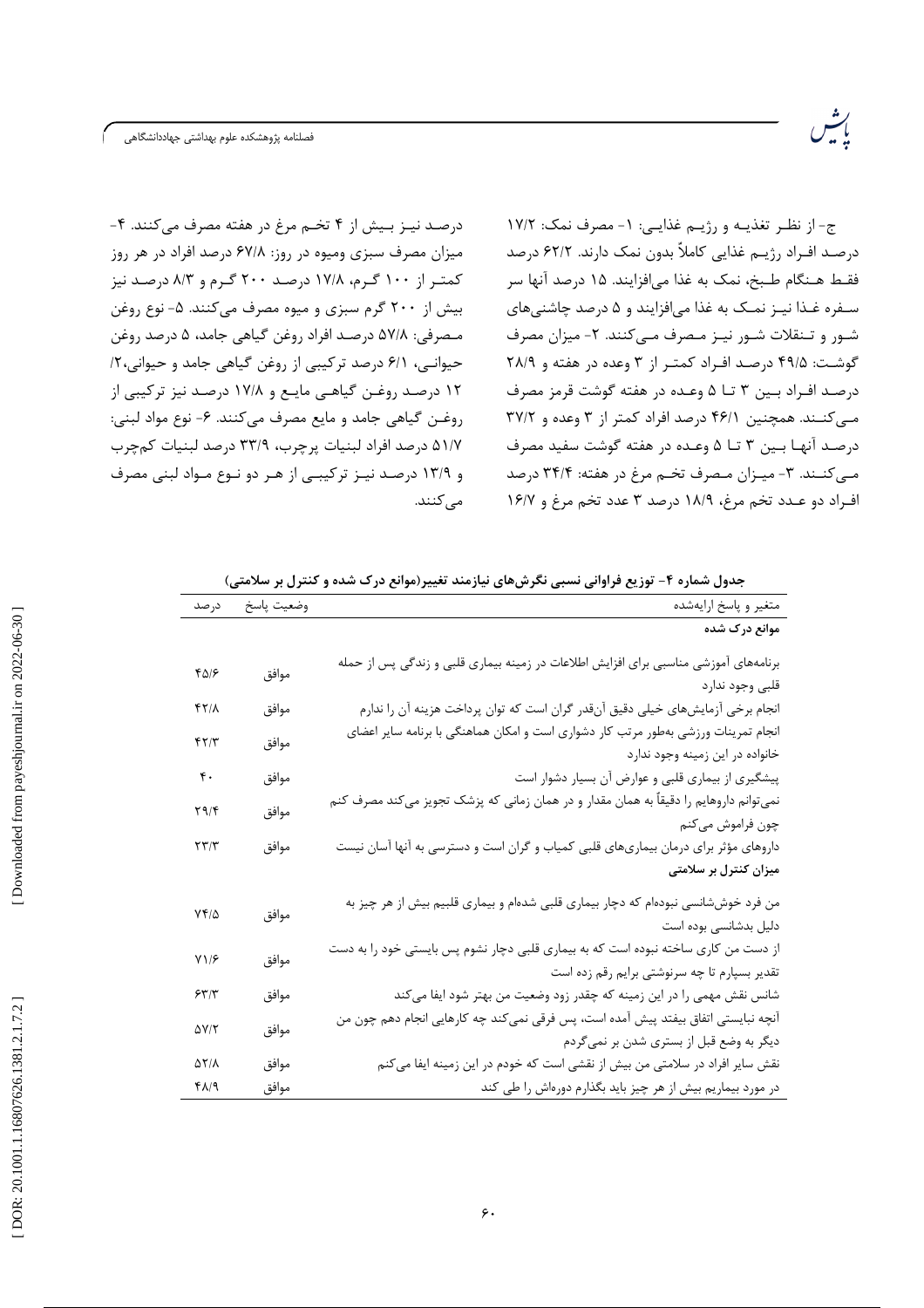درصد نیـز بـیش از ۴ تخـم مرغ در هفته مصرف میکنند. ۴-میزان مصرف سبزی ومیوه در روز: ۶۷/۸ درصد افراد در هر روز کمتر از ۱۰۰ گرم، ۱۷/۸ درصد ۲۰۰ گرم و ۸/۳ درصد نیز بیش از ۲۰۰ گرم سبزی و میوه مصرف میکنند. ۵- نوع روغن مـصرفي: ۵۷/۸ درصـد افراد روغن گياهي جامد، ۵ درصد روغن حیوانی، ۶/۱ درصد ترکیبی از روغن گیاهی جامد و حیوانی،۲/ ۱۲ درصد روغـن گیاهـی مایـع و ۱۷/۸ درصـد نیز ترکیبی از روغـن گياهي جامد و مايع مصرف مي كنند. ۶- نوع مواد لبني: ۵۱/۷ درصد افراد لبنيات پرچرب، ۳۳/۹ درصد لبنيات كمچرب و ۱۳/۹ درصد نیـز ترکیبـی از هـر دو نـوع مـواد لبنی مصرف مے کنند.

ج- از نظـر تغذيـه و رژيـم غذايـي: ١- مصرف نمک: ١٧/٢ درصـد افـراد رژيــم غذايي كاملاً بدون نمک دارند. ۶۲/۲ درصد فقـط هـنگام طـبخ، نمک به غذا مى|فزايند. ۱۵ درصد آنها سر سفره غـذا نيـز نمـک به غذا مىافزايند و ۵ درصد چاشنىهاى شـور و تـنقلات شـور نيـز مـصرف مـي كنند. ٢- ميزان مصرف گوشت: ۴۹/۵ درصد افـراد کمتـر از ۳ وعده در هفته و ۲۸/۹ درصـد افـراد بـين ٣ تــا ۵ وعـده در هفته گوشت قرمز مصرف میکنند. همچنین ۴۶/۱ درصد افراد کمتر از ۳ وعده و ۳۷/۲ درصد آنها بين ٣ تا ۵ وعده در هفته گوشت سفيد مصرف مبي كنــند. ٣- ميــزان مـصرف تخـم مرغ در هفته: ٣۴/۴ درصد افراد دو عـدد تخم مرغ، ١٨/٩ درصد ٣ عدد تخم مرغ و ١۶/٧

رينې<br>پېښه

جدول شماره ۴- توزیع فراوانی نسبی نگرشهای نیازمند تغییر(موانع درک شده و کنترل بر سلامتی)

| متغير و پاسخ ارايهشده                                                                  | وضعيت پاسخ | درصد               |
|----------------------------------------------------------------------------------------|------------|--------------------|
| موانع درک شده                                                                          |            |                    |
| برنامههای آموزشی مناسبی برای افزایش اطلاعات در زمینه بیماری قلبی و زندگی پس از حمله    | موافق      | ۴۵۱۶               |
| قلبى وجود ندارد                                                                        |            |                    |
| انجام برخی آزمایشهای خیلی دقیق آنقدر گران است که توان پرداخت هزینه آن را ندارم         | موافق      | 4771               |
| انجام تمرینات ورزشی بهطور مرتب کار دشواری است و امکان هماهنگی با برنامه سایر اعضای     | موافق      | ۴۲/۳               |
| خانواده در این زمینه وجود ندارد                                                        |            |                    |
| پیشگیری از بیماری قلبی و عوارض آن بسیار دشوار است                                      | موافق      | $\mathfrak{r}$ .   |
| نمیتوانم داروهایم را دقیقاً به همان مقدار و در همان زمانی که پزشک تجویز میکند مصرف کنم | موافق      | ۲۹/۴               |
| چون فراموش میکنم                                                                       |            |                    |
| داروهای مؤثر برای درمان بیماریهای قلبی کمیاب و گران است و دسترسی به آنها آسان نیست     | موافق      | ۲۳/۳               |
| میزان کنترل بر سلامتی                                                                  |            |                    |
| من فرد خوششانسی نبودهام که دچار بیماری قلبی شدهام و بیماری قلبیم بیش از هر چیز به      |            |                    |
| دلیل بدشانسی بوده است                                                                  | موافق      | ۷۴/۵               |
| از دست من کاری ساخته نبوده است که به بیماری قلبی دچار نشوم پس بایستی خود را به دست     | موافق      | Y1/F               |
| تقدیر بسپارم تا چه سرنوشتی برایم رقم زده است                                           |            |                    |
| شانس نقش مهمی را در این زمینه که چقدر زود وضعیت من بهتر شود ایفا میکند                 | موافق      | 557                |
| آنچه نبایستی اتفاق بیفتد پیش آمده است، پس فرقی نمیکند چه کارهایی انجام دهم چون من      | موافق      | ۵۷/۲               |
| دیگر به وضع قبل از بستری شدن بر نمیگردم                                                |            |                    |
| نقش سایر افراد در سلامتی من بیش از نقشی است که خودم در این زمینه ایفا میکنم            | موافق      | $\Delta Y/\Lambda$ |
| در مورد بیماریم بیش از هر چیز باید بگذارم دورهاش را طی کند                             | موافق      | ۴۸/۹               |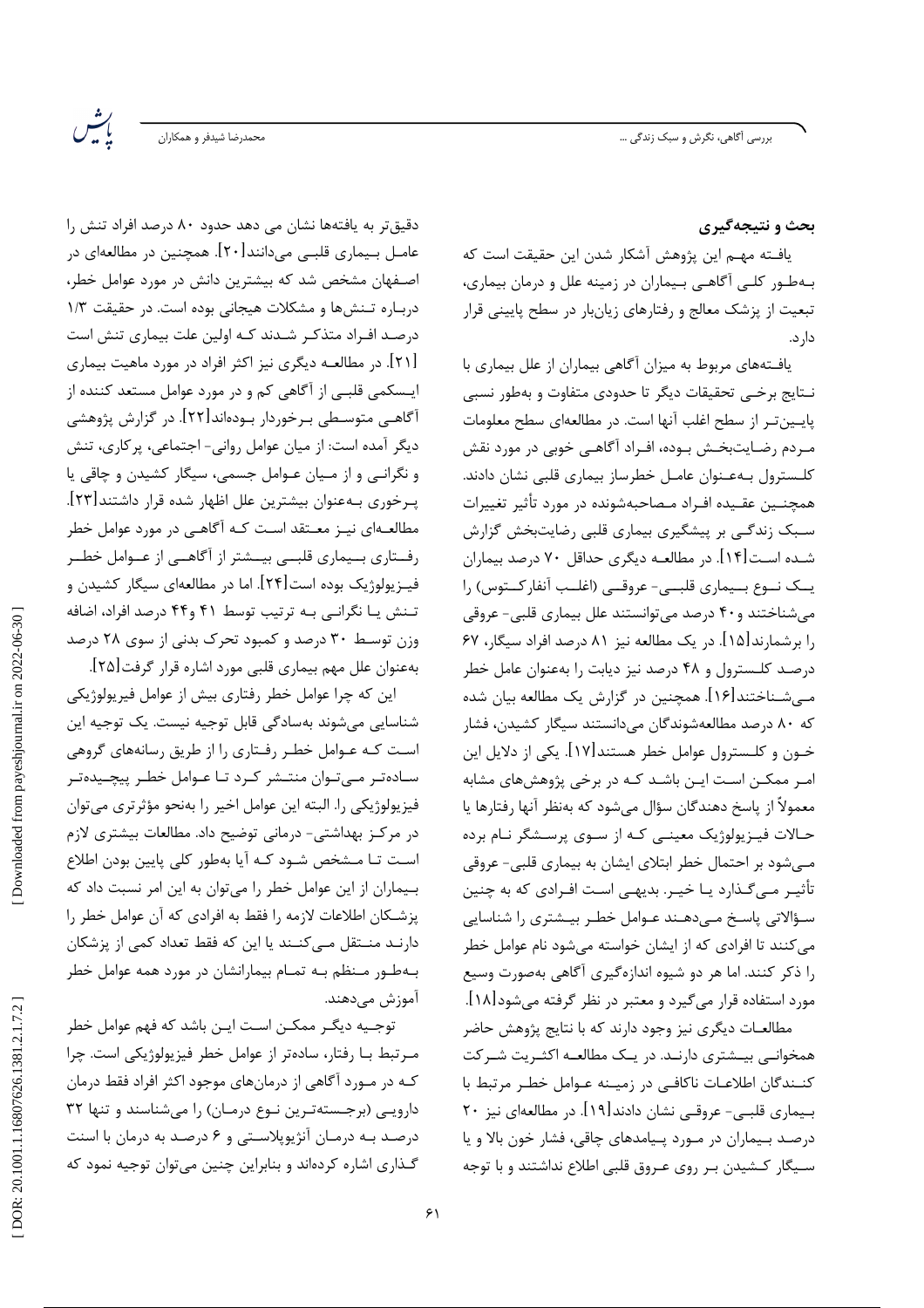.<br>بحمدرضا شیدفر و همکاران

ىش<br>پۈتىس

بحث و نتیجهگیری

يافــته مهــم اين يژوهش آشكار شدن اين حقيقت است كه بـهطـور كلـی آگاهـی بـیماران در زمینه علل و درمان بیماری، تبعیت از پزشک معالج و رفتارهای زیانبار در سطح پایینی قرار دار د.

یافـتههای مربوط به میزان آگاهی بیماران از علل بیماری با نـتايج برخـي تحقيقات ديگر تا حدودي متفاوت و بهطور نسبي يايين تر از سطح اغلب آنها است. در مطالعهاي سطح معلومات مـردم رضـايت بخـش بـوده، افـراد آگاهـي خوبي در مورد نقش كلـسترول بـهعـنوان عامـل خطرساز بيمارى قلبى نشان دادند. همچنــين عقـيده افـراد مـصاحبهشونده در مورد تأثير تغييرات سـبک زندگـی بر پیشگیری بیماری قلبی رضایتبخش گزارش شـده اسـت[۱۴]. در مطالعـه ديگري حداقل ۷۰ درصد بيماران یــک نــوع بــیماری قلبــی- عروقــی (اغلــب آنفارکــتوس) را می شناختند و ۴۰ درصد می توانستند علل بیماری قلبی- عروقی را برشمارند[۱۵]. در یک مطالعه نیز ۸۱ درصد افراد سیگار، ۶۷ درصد کلـسترول و ۴۸ درصد نیز دیابت را بهعنوان عامل خطر مـیشـناختند[۱۶]. همچنین در گزارش یک مطالعه بیان شده که ۸۰ درصد مطالعهشوندگان میدانستند سیگار کشیدن، فشار خــون و كلــسترول عوامل خطر هستند[۱۷]. يكي از دلايل اين امـر ممكـن اسـت ايـن باشـد كـه در برخي پژوهشهاي مشابه معمولاً از پاسخ دهندگان سؤال می شود که بهنظر آنها رفتارها یا حـالات فيـزيولوژيک معينـي کـه از سـوى پرسـشگر نـام برده مےشود بر احتمال خطر ابتلای ایشان به بیماری قلبی- عروقی تأثیـر مـیگـذارد یـا خیـر. بدیهـی اسـت افـرادی که به چنین سؤالاتی پاسخ مے دھند عـوامل خطـر بیـشتری را شناسایی مے کنند تا افرادی که از ایشان خواسته مے شود نام عوامل خطر را ذکر کنند. اما هر دو شیوه اندازهگیری آگاهی بهصورت وسیع مورد استفاده قرار میگیرد و معتبر در نظر گرفته میشود[۱۸].

مطالعـات دیگری نیز وجود دارند که با نتایج پژوهش حاضر همخوانبی بیـشتری دارنـد. در یـک مطالعـه اکثـریت شـرکت كنــندگان اطلاعــات ناكافــي در زميــنه عــوامل خطــر مرتبط با بـيماري قلبـي- عروقـي نشان دادند[١٩]. در مطالعهاي نيز ٢٠ درصـد بـيماران در مـورد پـيامدهاي چاقي، فشار خون بالا و يا سـیگار کـشیدن بـر روی عـروق قلبی اطلاع نداشتند و با توجه

دقیقتر به یافتهها نشان می دهد حدود ۸۰ درصد افراد تنش را عامـل بـيماري قلبـي ميدانند[٢٠]. همچنين در مطالعهاي در اصــفهان مشخص شد که بیشترین دانش در مورد عوامل خطر، درباره تنش6ا و مشكلات هيجاني بوده است. در حقيقت ١/٣ درصـد افـراد متذکـر شـدند کـه اولین علت بیماری تنش است [۲۱]. در مطالعــه دیگری نیز اکثر افراد در مورد ماهیت بیماری ایــسکمی قلبــی از آگاهی کم و در مورد عوامل مستعد کننده از آگاهـي متوسـطي بـرخوردار بـودهاند[۲۲]. در گزارش پژوهشي دیگر آمده است: از میان عوامل روانی- اجتماعی، پرکاری، تنش و نگرانی و از میان عـوامل جسمی، سیگار کشیدن و چاقی یا بِـرخوري بــهعنوان بيشترين علل اظهار شده قرار داشتند[٢٣]. مطالعـهای نیـز معـتقد اسـت کـه آگاهـی در مورد عوامل خطر رفــتاري بــيماري قلبــي بيــشتر از أگاهــي از عــوامل خطــر فیــزیولوژیک بوده است[۲۴]. اما در مطالعهای سیگار کشیدن و تـنش یـا نگرانـی بـه ترتیب توسط ۴۱ و۴۴ درصد افراد، اضافه وزن توسط ۳۰ درصد و کمبود تحرک بدنی از سوی ۲۸ درصد بهعنوان علل مهم بيماري قلبي مورد اشاره قرار گرفت[٢۵].

این که چرا عوامل خطر رفتاری بیش از عوامل فیریولوژیکی شناسايي مي شوند بهسادگي قابل توجيه نيست. يک توجيه اين است کـه عـوامل خطـر رفـتاري را از طريق رسانههاي گروهي سـادهتـر مــی تـوان منتــشر کـرد تـا عـوامل خطـر پیچــیدهتـر فيزيولوژيكي را. البته اين عوامل اخير را بهنحو مؤثرترى مىتوان در مرکـز بهداشتی- درمانی توضیح داد. مطالعات بیشتری لازم است تـا مـشخص شـود كـه آيا بهطور كلى پايين بودن اطلاع بهماران از این عوامل خطر را میتوان به این امر نسبت داد که پزشكان اطلاعات لازمه را فقط به افرادي كه آن عوامل خطر را دارنـد منــتقل مــی کنــند یا این که فقط تعداد کمی از پزشکان بـهطـور مـنظم بـه تمـام بيمارانشان در مورد همه عوامل خطر آموزش مے دھند.

توجـيه ديگـر ممكـن اسـت ايـن باشد كه فهم عوامل خطر مـرتبط بـا رفتار، سادهتر از عوامل خطر فيزيولوژيكى است. چرا کـه در مــورد آگاهي از درمانهاي موجود اکثر افراد فقط درمان دارویی (برجستهترین نوع درمان) را میشناسند و تنها ٣٢ درصد بـه درمـان آنژیوپلاسـتی و ۶ درصـد به درمان با اسنت گـذاري اشاره كردهاند و بنابراين چنين مي توان توجيه نمود كه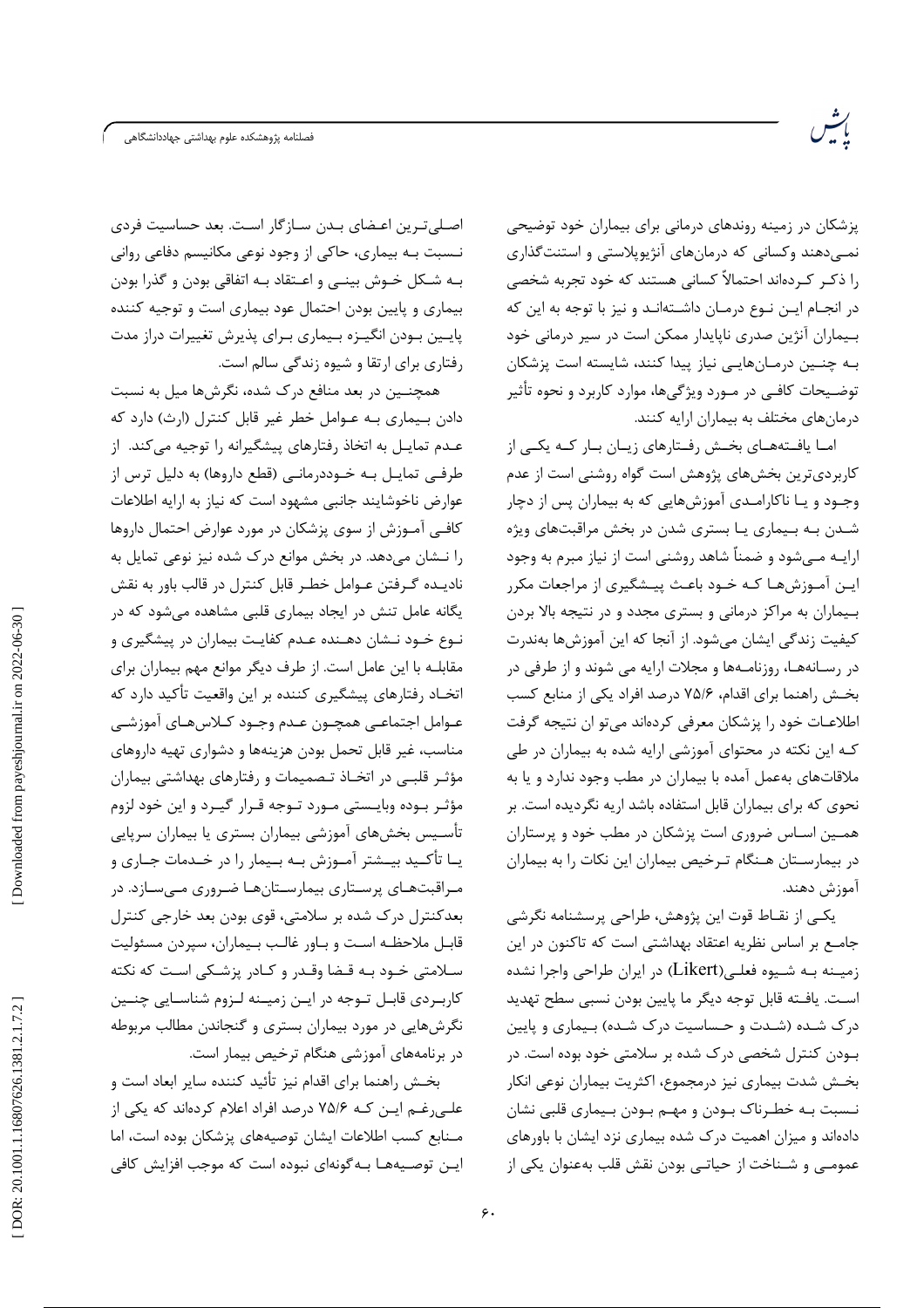فصلنامه پژوهشكده علوم بهداشتى جهاددانشگاهى

پزشکان در زمینه روندهای درمانی برای بیماران خود توضیحی نمـیدهند وکسانی که درمانهای آنژیوپلاستی و استنتگذاری را ذکـر کـردهاند احتمالاً کسانی هستند که خود تجربه شخصی در انجـام ايـن نـوع درمـان داشـتهانـد و نيز با توجه به اين كه بییماران آنژین صدری ناپایدار ممکن است در سیر درمانی خود بـه چنـین درمـانهایـی نیاز پیدا کنند، شایسته است پزشکان توضیحات کافـی در مــورد ویژگیها، موارد کاربرد و نحوه تأثیر درمانهای مختلف به بیماران ارایه کنند.

امـا یافـتههـای بخـش رفـتارهای زیـان بـار کـه یکـی از کاربردی ترین بخشهای پژوهش است گواه روشنی است از عدم وجـود و يــا ناكارامــدى آموزشهايى كه به بيماران پس از دچار شـدن بـه بـیماری یـا بستری شدن در بخش مراقبتهای ویژه ارایـه مـیشود و ضمناً شاهد روشنی است از نیاز مبرم به وجود ایـن آمـوزشهـا کـه خـود باعـث پیـشگیری از مراجعات مکرر بـیماران به مراکز درمانی و بستری مجدد و در نتیجه بالا بردن کیفیت زندگی ایشان میشود. از آنجا که این آموزشها بهندرت در رسـانههـا، روزنامـهها و مجلات ارايه مي شوند و از طرفي در بخش راهنما براي اقدام، ٧۵/۶ درصد افراد يكي از منابع كسب اطلاعـات خود را پزشكان معرفى كردهاند مى تو ان نتيجه گرفت کـه این نکته در محتوای آموزشی ارایه شده به بیماران در طی ملاقاتهای بهعمل آمده با بیماران در مطب وجود ندارد و یا به نحوی که برای بیماران قابل استفاده باشد اریه نگردیده است. بر همـین اسـاس ضروری است پزشکان در مطب خود و پرستاران در بیمارستان هـنگام تـرخیص بیماران این نکات را به بیماران آموزش دهند.

یکـی از نقـاط قوت این پژوهش، طراحی پرسشنامه نگرشی جامــع بر اساس نظریه اعتقاد بهداشتی است که تاکنون در این زمیــنه بـه شــیوه فعلـی(Likert) در ایران طراحی واجرا نشده اسـت. يافــته قابل توجه ديگر ما پايين بودن نسبي سطح تهديد درک شـده (شـدت و حـساسیت درک شـده) بـیماری و پایین بـودن کنترل شخصی درک شده بر سلامتی خود بوده است. در بخـش شدت بيماري نيز درمجموع، اكثريت بيماران نوعي انكار نـسبت بـه خطـرناک بـودن و مهـم بـودن بـيماري قلبي نشان دادهاند و میزان اهمیت درک شده بیماری نزد ایشان با باورهای عمومے ،و شــناخت از حیاتــی بودن نقش قلب بهعنوان یکی از

اصلی ترین اعضای بـدن سـازگار اسـت. بعد حساسیت فردی نــسبت بــه بیماری، حاکی از وجود نوعی مکانیسم دفاعی روانی بـه شـكل خـوش بينــي و اعــتقاد بــه اتفاقي بودن و گذرا بودن بیماری و پایین بودن احتمال عود بیماری است و توجیه کننده پایین بودن انگیـزه بـیماری بـرای پذیرش تغییرات دراز مدت رفتاری برای ارتقا و شیوه زندگی سالم است.

همچنـین در بعد منافع درک شده، نگرشها میل به نسبت دادن بیماری بـه عـوامل خطر غیر قابل کنترل (ارث) دارد که عـدم تمايـل به اتخاذ رفتارهاي پيشگيرانه را توجيه ميكند. از طرفے تمایـل بـه خـوددرمانـی (قطع داروها) به دلیل ترس از عوارض ناخوشایند جانبی مشهود است که نیاز به ارایه اطلاعات كافـي آمـوزش از سوى پزشكان در مورد عوارض احتمال داروها را نـشان مىدهد. در بخش موانع درک شده نيز نوعى تمايل به ناديـده گـرفتن عـوامل خطـر قابل كنترل در قالب باور به نقش یگانه عامل تنش در ایجاد بیماری قلبی مشاهده میشود که در نـوع خـود نـشان دهـنده عـدم کفايـت بيماران در پيشگيري و مقابلـه با اين عامل است. از طرف ديگر موانع مهم بيماران براي اتخـاد رفتارهای پیشگیری کننده بر این واقعیت تأکید دارد که عـوامل اجتماعـي همچــون عـدم وجــود كــلاسهــاي آموزشــي مناسب، غیر قابل تحمل بودن هزینهها و دشواری تهیه داروهای مؤثـر قلبـی در اتخـاذ تـصمیمات و رفتارهای بهداشتی بیماران مؤثـر بــوده وبايــستى مــورد تــوجه قــرار گيــرد و اين خود لزوم تأسـيس بخشهاى آموزشي بيماران بسترى يا بيماران سرپايي یـا تأکـید بیــشتر آمــوزش بــه بــیمار را در خــدمات جــاری و مـراقبتهـای پرسـتاری بیمارسـتانهـا ضـروری مـیسـازد. در بعدکنترل درک شده بر سلامتی، قوی بودن بعد خارجی کنترل قابـل ملاحظـه اسـت و بـاور غالـب بـيماران، سيردن مسئوليت سـلامتي خـود بـه قـضا وقـدر و كـادر يزشـكي اسـت كه نكته کاربردی قابل توجه در ایـن زمیـنه لـزوم شناسـایی چنـین نگرشهایی در مورد بیماران بستری و گنجاندن مطالب مربوطه در برنامههای آموزشی هنگام ترخیص بیمار است.

بخـش راهنما براي اقدام نيز تأئيد كننده ساير ابعاد است و علـی رغـم ایـن کـه ۷۵/۶ درصد افراد اعلام کردهاند که یکی از مـنابع كسب اطلاعات ايشان توصيههاى پزشكان بوده است، اما اپن توصیههـا بـه گونهای نبوده است که موجب افزایش کافی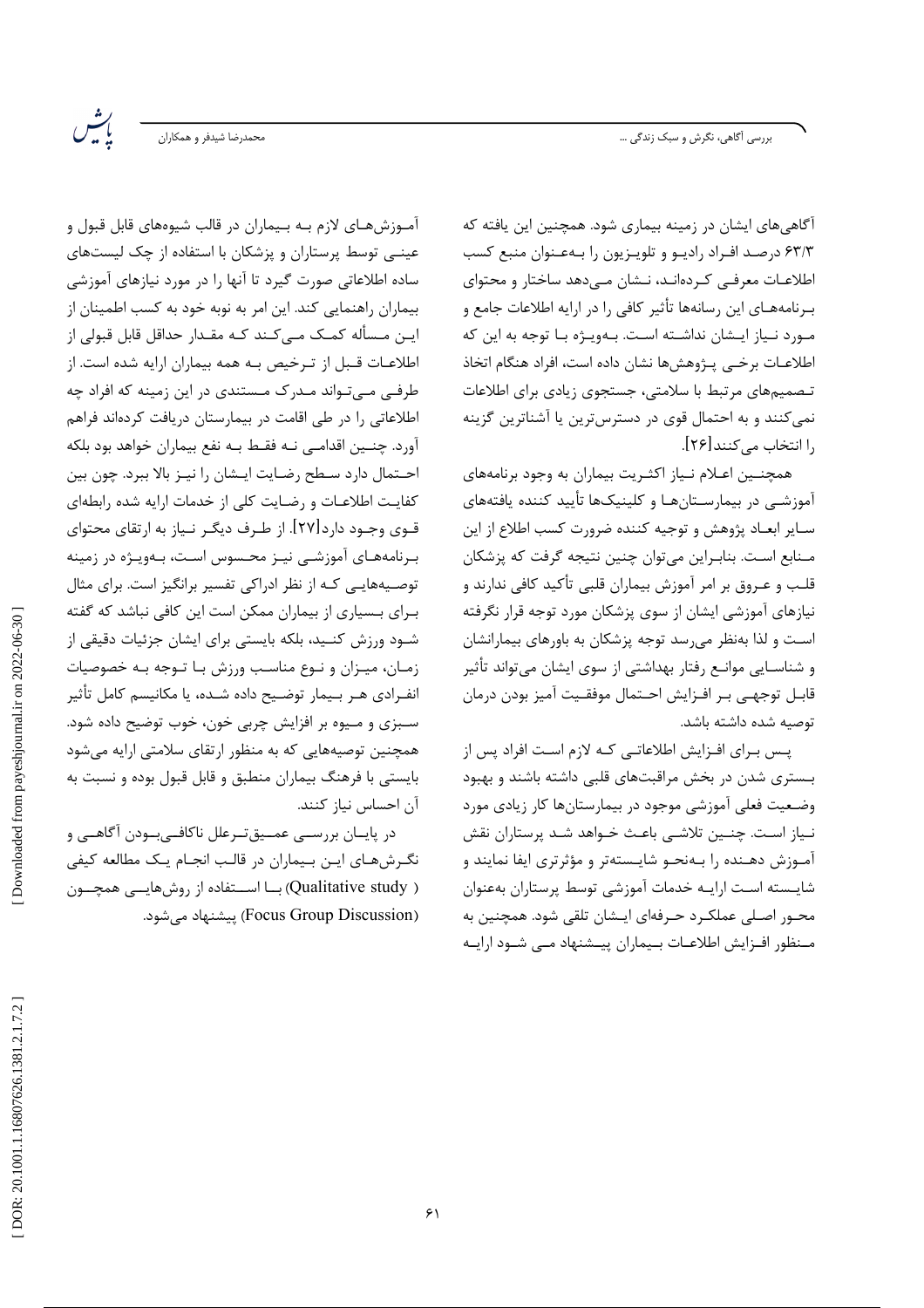بررسی اَگاهی، نگرش و سبک زندگی …

.<br>بحمدرضا شیدفر و همکاران

رينس<br>پوس

آگاهی های ایشان در زمینه بیماری شود. همچنین این یافته که ۶۳/۳ درصـد افـراد راديـو و تلويـزيون را بـهعـنوان منبع كسب اطلاعـات معرفـی کـردهانـد، نــشان مــی۵هد ساختار و محتوای بـرنامههـای این رسانهها تأثیر کافی را در ارایه اطلاعات جامع و مـورد نـياز ايـشان نداشـته اسـت. بـهويـژه بـا توجه به اين كه اطلاعـات برخـى يــژوهشها نشان داده است، افراد هنگام اتخاذ تـصمیمهای مرتبط با سلامتی، جستجوی زیادی برای اطلاعات نمي كنند و به احتمال قوى در دسترس ترين يا آشناترين گزينه را انتخاب می کنند [۲۶].

همچنـین اعـلام نـیاز اکثـریت بیماران به وجود برنامههای آموزشــی در بیمارســتانهـا و کلینیکـها تأیید کننده یافتههای سـاير ابعـاد پژوهش و توجيه كننده ضرورت كسب اطلاع از اين مـنابع اسـت. بنابـراين مي توان چنين نتيجه گرفت كه پزشكان قلب و عـروق بر امر آموزش بیماران قلبی تأکید کافی ندارند و نیازهای آموزشی ایشان از سوی پزشکان مورد توجه قرار نگرفته اسـت و لذا بهنظر می رسد توجه پزشکان به باورهای بیمارانشان و شناســایی موانــع رفتار بهداشتی از سوی ایشان میتواند تأثیر قابـل توجهـي بـر افـزايش احـتمال موفقـيت آميز بودن درمان توصيه شده داشته باشد.

پس بـراي افـزايش اطلاعاتـي كـه لازم اسـت افراد پس از بـستری شدن در بخش مراقبتهای قلبی داشته باشند و بهبود وضعیت فعلی آموزشی موجود در بیمارستانها کار زیادی مورد نـياز اسـت. چنـين تلاشـي باعـث خـواهد شـد پرستاران نقش آمـوزش دهـنده را بـهنحـو شايـستهتر و مؤثرترى ايفا نمايند و شايسته است ارايـه خدمات آموزشي توسط يرستاران بهعنوان محـور اصـلي عملكـرد حـرفهاي ايـشان تلقى شود. همچنين به مـنظور افـزايش اطلاعـات بـيماران ييــشنهاد مــي شــود ارايــه

آمـوزشهـای لازم بـه بـیماران در قالب شیوههای قابل قبول و عینـی توسط پرستاران و پزشکان با استفاده از چک لیستهای ساده اطلاعاتی صورت گیرد تا آنها را در مورد نیازهای آموزشی بیماران راهنمایی کند. این امر به نوبه خود به کسب اطمینان از این مسأله کمک مے کند کـه مقـدار حداقل قابل قبولی از اطلاعـات قـبل از تـرخيص بـه همه بيماران ارايه شده است. از طرفی مے تـواند مـدرک مـستندی در این زمینه که افراد چه اطلاعاتی را در طی اقامت در بیمارستان دریافت کردهاند فراهم آورد. چنـین اقدامـی نـه فقـط بـه نفع بیماران خواهد بود بلکه احـتمال دارد سـطح رضـايت ايـشان را نيـز بالا ببرد. چون بين كفايت اطلاعـات و رضـايت كلي از خدمات ارايه شده رابطهاي قـوي وجـود دارد[۲۷]. از طـرف ديگـر نـياز به ارتقاي محتواي برنامههای آموزشی نیـز محـسوس اسـت، بـهویـژه در زمینه توصـیههایـی کـه از نظر ادراکی تفسیر برانگیز است. برای مثال بـرای بـسیاری از بیماران ممکن است این کافی نباشد که گفته .<br>شـود ورزش کنـید، بلکه بایستی برای ایشان جزئیات دقیقی از زمان، میـزان و نـوع مناسـب ورزش بـا تـوجه بـه خصوصیات انفـرادی هـر بـيمار توضـيح داده شـده، يا مكانيسم كامل تأثير سـبزي و مـيوه بر افزايش چربي خون، خوب توضيح داده شود. همچنین توصیههایی که به منظور ارتقای سلامتی ارایه میشود بایستی با فرهنگ بیماران منطبق و قابل قبول بوده و نسبت به آن احساس نياز كنند.

در پایــان بررســي عمــيقتــرعلل ناكافــيبــودن آگاهــي و نگرشهای این بیماران در قالب انجام یک مطالعه کیفی ( Qualitative study) بــا اســتفاده از روشهايـــى همچـــون (Focus Group Discussion) ييشنهاد مي شود.

Downloaded from payeshjournal.ir on 2022-06-30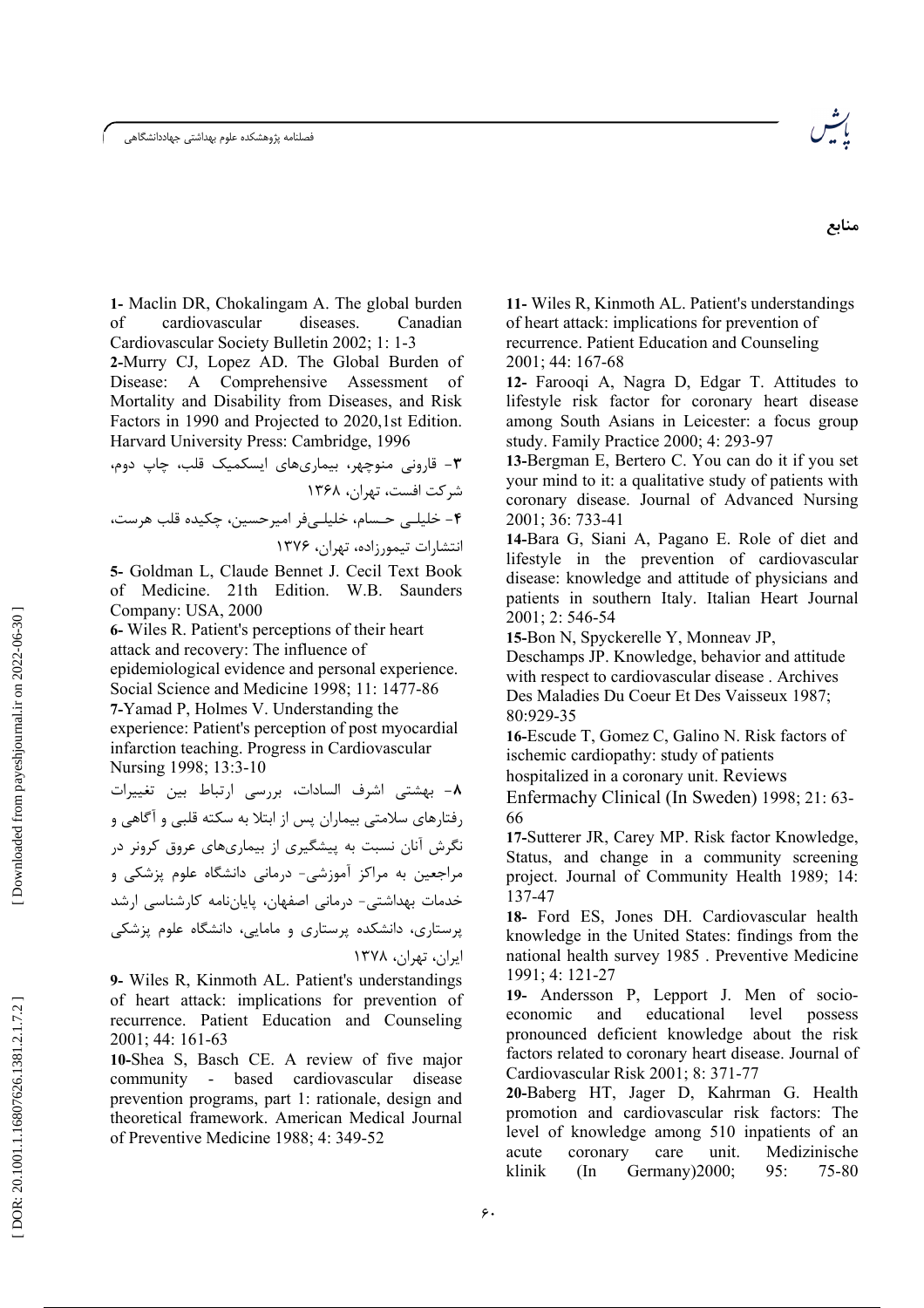فصلنامه پژوهشکده علوم بهداشتی جهاددانشگاهی



1- Maclin DR, Chokalingam A. The global burden  $\sigma$ f cardiovascular diseases. Canadian Cardiovascular Society Bulletin 2002; 1: 1-3

2-Murry CJ, Lopez AD. The Global Burden of A Comprehensive Assessment of Disease: Mortality and Disability from Diseases, and Risk Factors in 1990 and Projected to 2020,1st Edition. Harvard University Press: Cambridge, 1996

5- Goldman L, Claude Bennet J. Cecil Text Book of Medicine. 21th Edition. W.B. Saunders Company: USA, 2000

6- Wiles R. Patient's perceptions of their heart attack and recovery: The influence of epidemiological evidence and personal experience. Social Science and Medicine 1998; 11: 1477-86 7-Yamad P, Holmes V. Understanding the experience: Patient's perception of post myocardial infarction teaching. Progress in Cardiovascular Nursing 1998; 13:3-10

٨- بهشتى اشرف السادات، بررسى ارتباط بين تغييرات رفتارهای سلامتی بیماران پس از ابتلا به سکته قلبی و آگاهی و نگرش آنان نسبت به پیشگیری از بیماریهای عروق کرونر در مراجعین به مراکز آموزشی- درمانی دانشگاه علوم پزشکی و خدمات بهداشتی- درمانی اصفهان، پایاننامه کارشناسی ارشد پرستاری، دانشکده پرستاری و مامایی، دانشگاه علوم پزشکی ایران، تهران، ۱۳۷۸

9- Wiles R, Kinmoth AL. Patient's understandings of heart attack: implications for prevention of recurrence. Patient Education and Counseling 2001; 44: 161-63

10-Shea S, Basch CE. A review of five major - based cardiovascular disease community prevention programs, part 1: rationale, design and theoretical framework. American Medical Journal of Preventive Medicine 1988; 4: 349-52

11- Wiles R, Kinmoth AL. Patient's understandings of heart attack: implications for prevention of recurrence. Patient Education and Counseling 2001; 44: 167-68

12- Farooqi A, Nagra D, Edgar T. Attitudes to lifestyle risk factor for coronary heart disease among South Asians in Leicester: a focus group study. Family Practice 2000; 4: 293-97

13-Bergman E, Bertero C. You can do it if you set your mind to it: a qualitative study of patients with coronary disease. Journal of Advanced Nursing 2001; 36: 733-41

14-Bara G, Siani A, Pagano E. Role of diet and lifestyle in the prevention of cardiovascular disease: knowledge and attitude of physicians and patients in southern Italy. Italian Heart Journal 2001; 2: 546-54

15-Bon N, Spyckerelle Y, Monneav JP,

Deschamps JP. Knowledge, behavior and attitude with respect to cardiovascular disease. Archives Des Maladies Du Coeur Et Des Vaisseux 1987; 80:929-35

16-Escude T, Gomez C, Galino N. Risk factors of ischemic cardiopathy: study of patients

hospitalized in a coronary unit. Reviews

Enfermachy Clinical (In Sweden) 1998; 21: 63-66

17-Sutterer JR, Carey MP. Risk factor Knowledge, Status, and change in a community screening project. Journal of Community Health 1989; 14: 137-47

18- Ford ES, Jones DH. Cardiovascular health knowledge in the United States: findings from the national health survey 1985. Preventive Medicine 1991; 4: 121-27

19- Andersson P, Lepport J. Men of socioeducational level economic and possess pronounced deficient knowledge about the risk factors related to coronary heart disease. Journal of Cardiovascular Risk 2001; 8: 371-77

20-Baberg HT, Jager D, Kahrman G. Health promotion and cardiovascular risk factors: The level of knowledge among 510 inpatients of an acute coronary care unit. Medizinische klinik  $(In$ Germany) 2000;  $95:$ 75-80